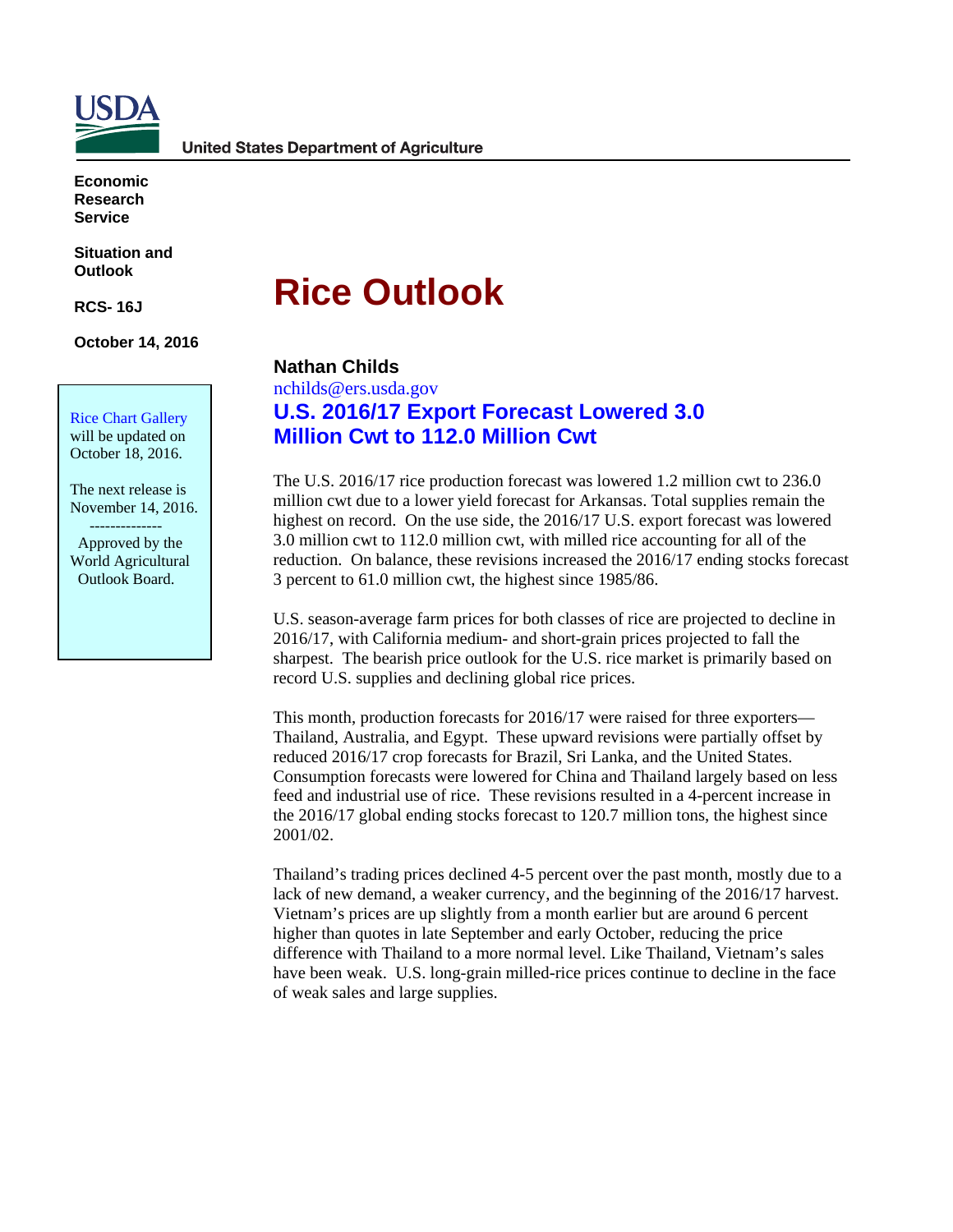

**Economic Research Service**

**Situation and Outlook** 

**RCS- 16J**

**October 14, 2016** 

Rice Chart Gallery will be updated on

October 18, 2016.

The next release is November 14, 2016.

 -------------- Approved by the World Agricultural Outlook Board.

# **Rice Outlook**

### **Nathan Childs**

nchilds@ers.usda.gov **U.S. 2016/17 Export Forecast Lowered 3.0 Million Cwt to 112.0 Million Cwt** 

The U.S. 2016/17 rice production forecast was lowered 1.2 million cwt to 236.0 million cwt due to a lower yield forecast for Arkansas. Total supplies remain the highest on record. On the use side, the 2016/17 U.S. export forecast was lowered 3.0 million cwt to 112.0 million cwt, with milled rice accounting for all of the reduction. On balance, these revisions increased the 2016/17 ending stocks forecast 3 percent to 61.0 million cwt, the highest since 1985/86.

U.S. season-average farm prices for both classes of rice are projected to decline in 2016/17, with California medium- and short-grain prices projected to fall the sharpest. The bearish price outlook for the U.S. rice market is primarily based on record U.S. supplies and declining global rice prices.

This month, production forecasts for 2016/17 were raised for three exporters— Thailand, Australia, and Egypt. These upward revisions were partially offset by reduced 2016/17 crop forecasts for Brazil, Sri Lanka, and the United States. Consumption forecasts were lowered for China and Thailand largely based on less feed and industrial use of rice. These revisions resulted in a 4-percent increase in the 2016/17 global ending stocks forecast to 120.7 million tons, the highest since 2001/02.

Thailand's trading prices declined 4-5 percent over the past month, mostly due to a lack of new demand, a weaker currency, and the beginning of the 2016/17 harvest. Vietnam's prices are up slightly from a month earlier but are around 6 percent higher than quotes in late September and early October, reducing the price difference with Thailand to a more normal level. Like Thailand, Vietnam's sales have been weak. U.S. long-grain milled-rice prices continue to decline in the face of weak sales and large supplies.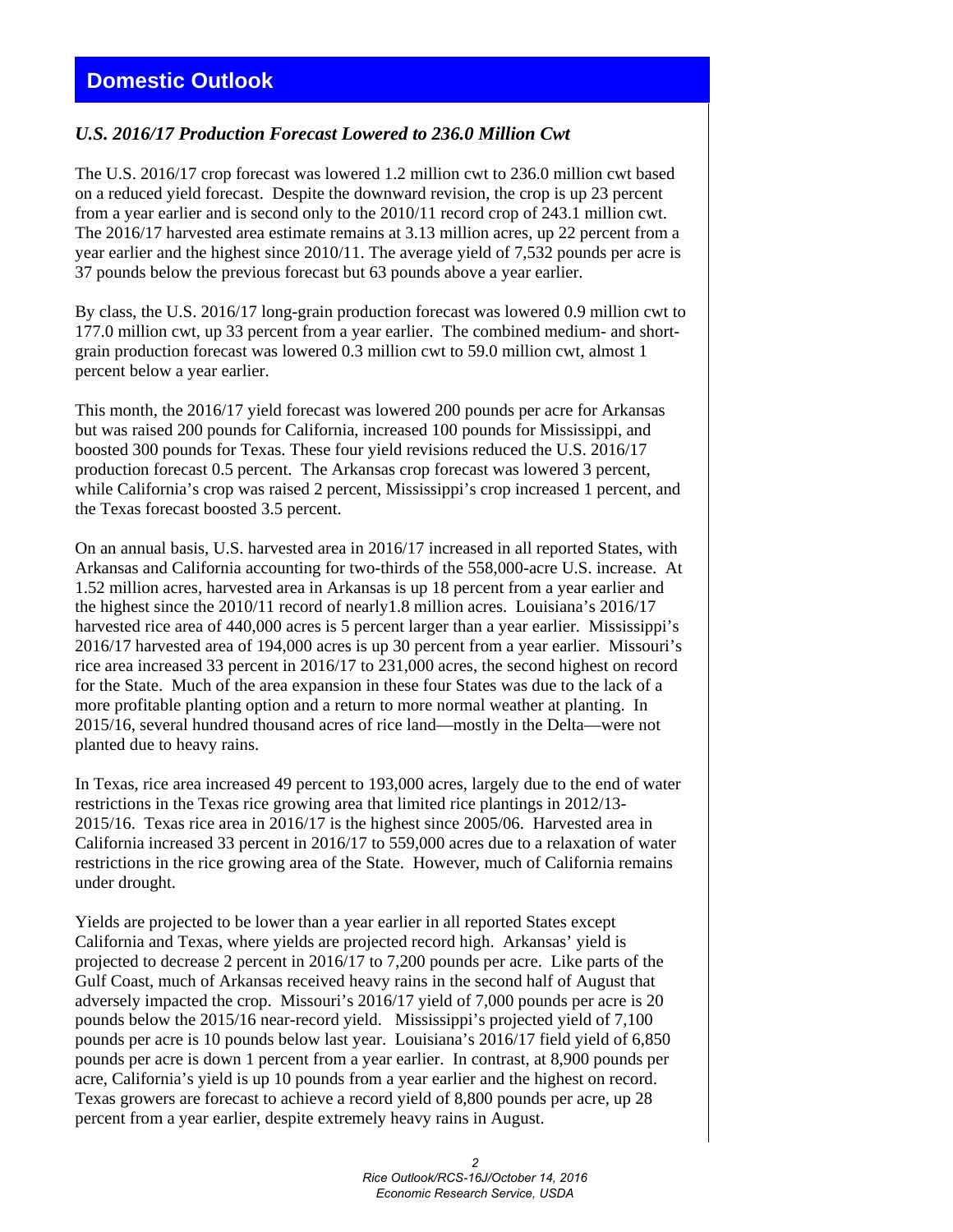## **Domestic Outlook**

#### *U.S. 2016/17 Production Forecast Lowered to 236.0 Million Cwt*

The U.S. 2016/17 crop forecast was lowered 1.2 million cwt to 236.0 million cwt based on a reduced yield forecast. Despite the downward revision, the crop is up 23 percent from a year earlier and is second only to the 2010/11 record crop of 243.1 million cwt. The 2016/17 harvested area estimate remains at 3.13 million acres, up 22 percent from a year earlier and the highest since 2010/11. The average yield of 7,532 pounds per acre is 37 pounds below the previous forecast but 63 pounds above a year earlier.

By class, the U.S. 2016/17 long-grain production forecast was lowered 0.9 million cwt to 177.0 million cwt, up 33 percent from a year earlier. The combined medium- and shortgrain production forecast was lowered 0.3 million cwt to 59.0 million cwt, almost 1 percent below a year earlier.

This month, the 2016/17 yield forecast was lowered 200 pounds per acre for Arkansas but was raised 200 pounds for California, increased 100 pounds for Mississippi, and boosted 300 pounds for Texas. These four yield revisions reduced the U.S. 2016/17 production forecast 0.5 percent. The Arkansas crop forecast was lowered 3 percent, while California's crop was raised 2 percent, Mississippi's crop increased 1 percent, and the Texas forecast boosted 3.5 percent.

On an annual basis, U.S. harvested area in 2016/17 increased in all reported States, with Arkansas and California accounting for two-thirds of the 558,000-acre U.S. increase. At 1.52 million acres, harvested area in Arkansas is up 18 percent from a year earlier and the highest since the 2010/11 record of nearly1.8 million acres. Louisiana's 2016/17 harvested rice area of 440,000 acres is 5 percent larger than a year earlier. Mississippi's 2016/17 harvested area of 194,000 acres is up 30 percent from a year earlier. Missouri's rice area increased 33 percent in 2016/17 to 231,000 acres, the second highest on record for the State. Much of the area expansion in these four States was due to the lack of a more profitable planting option and a return to more normal weather at planting. In 2015/16, several hundred thousand acres of rice land—mostly in the Delta—were not planted due to heavy rains.

In Texas, rice area increased 49 percent to 193,000 acres, largely due to the end of water restrictions in the Texas rice growing area that limited rice plantings in 2012/13- 2015/16. Texas rice area in 2016/17 is the highest since 2005/06. Harvested area in California increased 33 percent in 2016/17 to 559,000 acres due to a relaxation of water restrictions in the rice growing area of the State. However, much of California remains under drought.

Yields are projected to be lower than a year earlier in all reported States except California and Texas, where yields are projected record high. Arkansas' yield is projected to decrease 2 percent in 2016/17 to 7,200 pounds per acre. Like parts of the Gulf Coast, much of Arkansas received heavy rains in the second half of August that adversely impacted the crop. Missouri's 2016/17 yield of 7,000 pounds per acre is 20 pounds below the 2015/16 near-record yield. Mississippi's projected yield of 7,100 pounds per acre is 10 pounds below last year. Louisiana's 2016/17 field yield of 6,850 pounds per acre is down 1 percent from a year earlier. In contrast, at 8,900 pounds per acre, California's yield is up 10 pounds from a year earlier and the highest on record. Texas growers are forecast to achieve a record yield of 8,800 pounds per acre, up 28 percent from a year earlier, despite extremely heavy rains in August.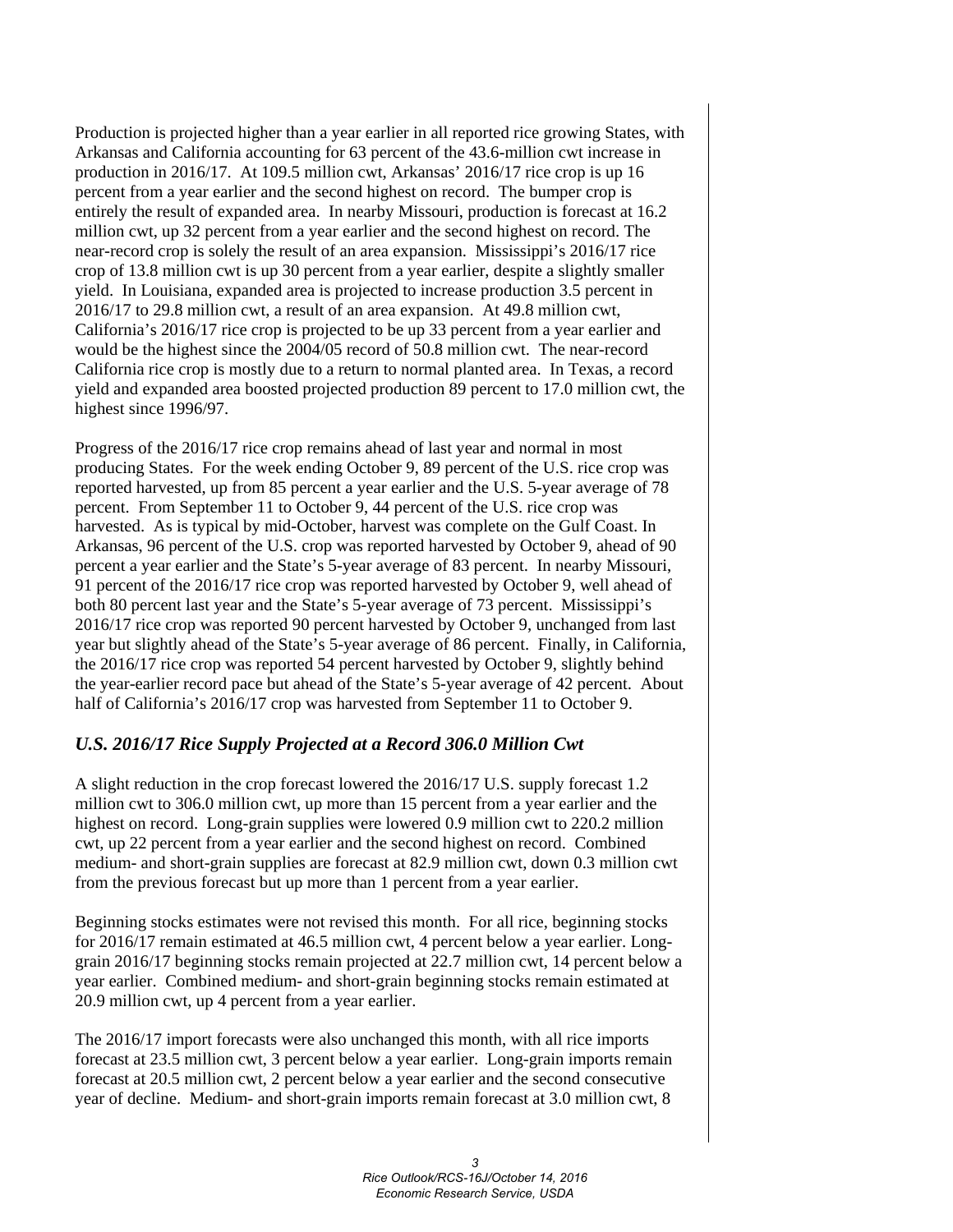Production is projected higher than a year earlier in all reported rice growing States, with Arkansas and California accounting for 63 percent of the 43.6-million cwt increase in production in 2016/17. At 109.5 million cwt, Arkansas' 2016/17 rice crop is up 16 percent from a year earlier and the second highest on record. The bumper crop is entirely the result of expanded area. In nearby Missouri, production is forecast at 16.2 million cwt, up 32 percent from a year earlier and the second highest on record. The near-record crop is solely the result of an area expansion. Mississippi's 2016/17 rice crop of 13.8 million cwt is up 30 percent from a year earlier, despite a slightly smaller yield. In Louisiana, expanded area is projected to increase production 3.5 percent in 2016/17 to 29.8 million cwt, a result of an area expansion. At 49.8 million cwt, California's 2016/17 rice crop is projected to be up 33 percent from a year earlier and would be the highest since the 2004/05 record of 50.8 million cwt. The near-record California rice crop is mostly due to a return to normal planted area. In Texas, a record yield and expanded area boosted projected production 89 percent to 17.0 million cwt, the highest since 1996/97.

Progress of the 2016/17 rice crop remains ahead of last year and normal in most producing States. For the week ending October 9, 89 percent of the U.S. rice crop was reported harvested, up from 85 percent a year earlier and the U.S. 5-year average of 78 percent. From September 11 to October 9, 44 percent of the U.S. rice crop was harvested. As is typical by mid-October, harvest was complete on the Gulf Coast. In Arkansas, 96 percent of the U.S. crop was reported harvested by October 9, ahead of 90 percent a year earlier and the State's 5-year average of 83 percent. In nearby Missouri, 91 percent of the 2016/17 rice crop was reported harvested by October 9, well ahead of both 80 percent last year and the State's 5-year average of 73 percent. Mississippi's 2016/17 rice crop was reported 90 percent harvested by October 9, unchanged from last year but slightly ahead of the State's 5-year average of 86 percent. Finally, in California, the 2016/17 rice crop was reported 54 percent harvested by October 9, slightly behind the year-earlier record pace but ahead of the State's 5-year average of 42 percent. About half of California's 2016/17 crop was harvested from September 11 to October 9.

### *U.S. 2016/17 Rice Supply Projected at a Record 306.0 Million Cwt*

A slight reduction in the crop forecast lowered the 2016/17 U.S. supply forecast 1.2 million cwt to 306.0 million cwt, up more than 15 percent from a year earlier and the highest on record. Long-grain supplies were lowered 0.9 million cwt to 220.2 million cwt, up 22 percent from a year earlier and the second highest on record. Combined medium- and short-grain supplies are forecast at 82.9 million cwt, down 0.3 million cwt from the previous forecast but up more than 1 percent from a year earlier.

Beginning stocks estimates were not revised this month. For all rice, beginning stocks for 2016/17 remain estimated at 46.5 million cwt, 4 percent below a year earlier. Longgrain 2016/17 beginning stocks remain projected at 22.7 million cwt, 14 percent below a year earlier. Combined medium- and short-grain beginning stocks remain estimated at 20.9 million cwt, up 4 percent from a year earlier.

The 2016/17 import forecasts were also unchanged this month, with all rice imports forecast at 23.5 million cwt, 3 percent below a year earlier. Long-grain imports remain forecast at 20.5 million cwt, 2 percent below a year earlier and the second consecutive year of decline. Medium- and short-grain imports remain forecast at 3.0 million cwt, 8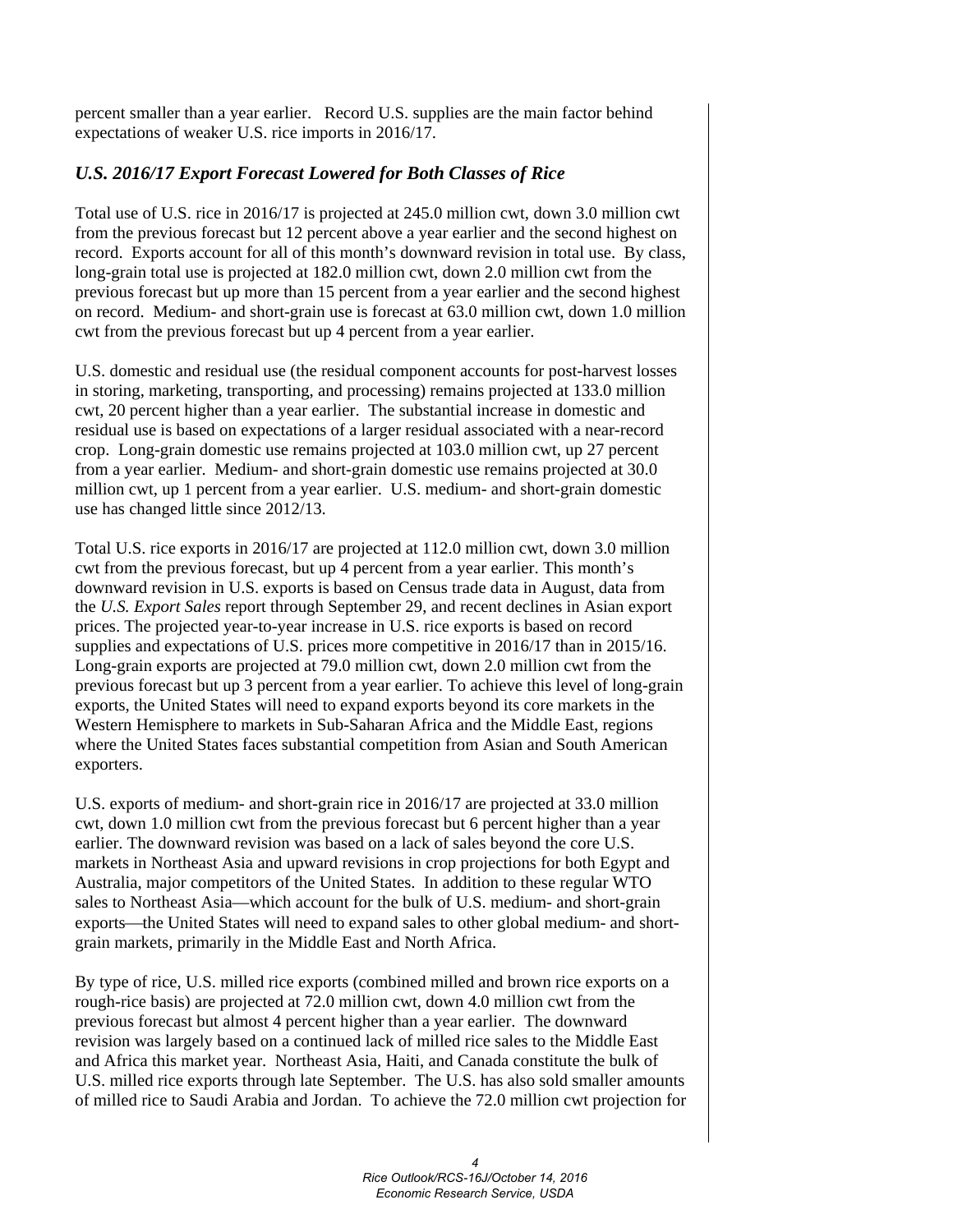percent smaller than a year earlier. Record U.S. supplies are the main factor behind expectations of weaker U.S. rice imports in 2016/17.

## *U.S. 2016/17 Export Forecast Lowered for Both Classes of Rice*

Total use of U.S. rice in 2016/17 is projected at 245.0 million cwt, down 3.0 million cwt from the previous forecast but 12 percent above a year earlier and the second highest on record. Exports account for all of this month's downward revision in total use. By class, long-grain total use is projected at 182.0 million cwt, down 2.0 million cwt from the previous forecast but up more than 15 percent from a year earlier and the second highest on record. Medium- and short-grain use is forecast at 63.0 million cwt, down 1.0 million cwt from the previous forecast but up 4 percent from a year earlier.

U.S. domestic and residual use (the residual component accounts for post-harvest losses in storing, marketing, transporting, and processing) remains projected at 133.0 million cwt, 20 percent higher than a year earlier. The substantial increase in domestic and residual use is based on expectations of a larger residual associated with a near-record crop. Long-grain domestic use remains projected at 103.0 million cwt, up 27 percent from a year earlier. Medium- and short-grain domestic use remains projected at 30.0 million cwt, up 1 percent from a year earlier. U.S. medium- and short-grain domestic use has changed little since 2012/13.

Total U.S. rice exports in 2016/17 are projected at 112.0 million cwt, down 3.0 million cwt from the previous forecast, but up 4 percent from a year earlier. This month's downward revision in U.S. exports is based on Census trade data in August, data from the *U.S. Export Sales* report through September 29, and recent declines in Asian export prices. The projected year-to-year increase in U.S. rice exports is based on record supplies and expectations of U.S. prices more competitive in 2016/17 than in 2015/16. Long-grain exports are projected at 79.0 million cwt, down 2.0 million cwt from the previous forecast but up 3 percent from a year earlier. To achieve this level of long-grain exports, the United States will need to expand exports beyond its core markets in the Western Hemisphere to markets in Sub-Saharan Africa and the Middle East, regions where the United States faces substantial competition from Asian and South American exporters.

U.S. exports of medium- and short-grain rice in 2016/17 are projected at 33.0 million cwt, down 1.0 million cwt from the previous forecast but 6 percent higher than a year earlier. The downward revision was based on a lack of sales beyond the core U.S. markets in Northeast Asia and upward revisions in crop projections for both Egypt and Australia, major competitors of the United States. In addition to these regular WTO sales to Northeast Asia—which account for the bulk of U.S. medium- and short-grain exports—the United States will need to expand sales to other global medium- and shortgrain markets, primarily in the Middle East and North Africa.

By type of rice, U.S. milled rice exports (combined milled and brown rice exports on a rough-rice basis) are projected at 72.0 million cwt, down 4.0 million cwt from the previous forecast but almost 4 percent higher than a year earlier. The downward revision was largely based on a continued lack of milled rice sales to the Middle East and Africa this market year. Northeast Asia, Haiti, and Canada constitute the bulk of U.S. milled rice exports through late September. The U.S. has also sold smaller amounts of milled rice to Saudi Arabia and Jordan. To achieve the 72.0 million cwt projection for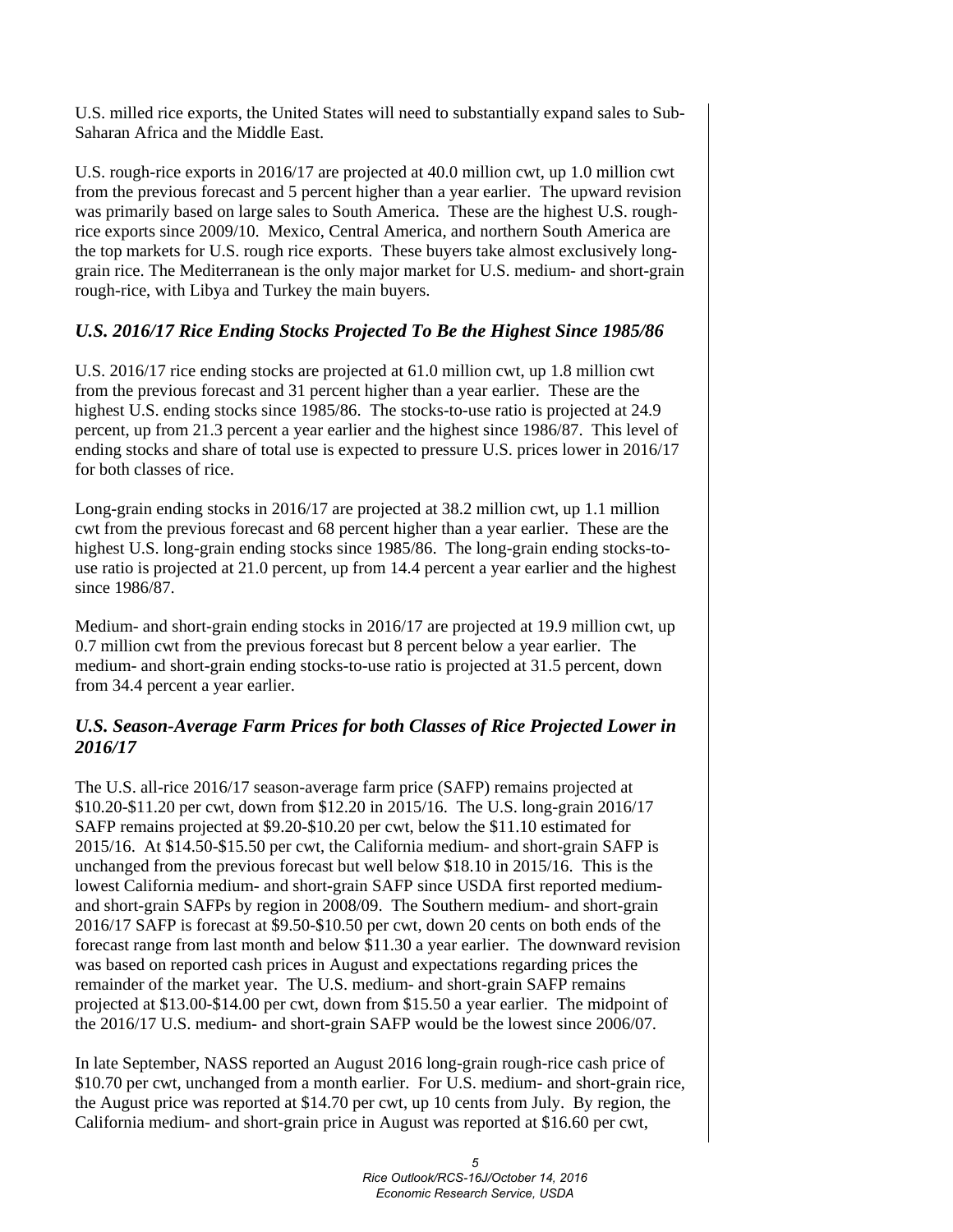U.S. milled rice exports, the United States will need to substantially expand sales to Sub-Saharan Africa and the Middle East.

U.S. rough-rice exports in 2016/17 are projected at 40.0 million cwt, up 1.0 million cwt from the previous forecast and 5 percent higher than a year earlier. The upward revision was primarily based on large sales to South America. These are the highest U.S. roughrice exports since 2009/10. Mexico, Central America, and northern South America are the top markets for U.S. rough rice exports. These buyers take almost exclusively longgrain rice. The Mediterranean is the only major market for U.S. medium- and short-grain rough-rice, with Libya and Turkey the main buyers.

### *U.S. 2016/17 Rice Ending Stocks Projected To Be the Highest Since 1985/86*

U.S. 2016/17 rice ending stocks are projected at 61.0 million cwt, up 1.8 million cwt from the previous forecast and 31 percent higher than a year earlier. These are the highest U.S. ending stocks since 1985/86. The stocks-to-use ratio is projected at 24.9 percent, up from 21.3 percent a year earlier and the highest since 1986/87. This level of ending stocks and share of total use is expected to pressure U.S. prices lower in 2016/17 for both classes of rice.

Long-grain ending stocks in 2016/17 are projected at 38.2 million cwt, up 1.1 million cwt from the previous forecast and 68 percent higher than a year earlier. These are the highest U.S. long-grain ending stocks since 1985/86. The long-grain ending stocks-touse ratio is projected at 21.0 percent, up from 14.4 percent a year earlier and the highest since 1986/87.

Medium- and short-grain ending stocks in 2016/17 are projected at 19.9 million cwt, up 0.7 million cwt from the previous forecast but 8 percent below a year earlier. The medium- and short-grain ending stocks-to-use ratio is projected at 31.5 percent, down from 34.4 percent a year earlier.

#### *U.S. Season-Average Farm Prices for both Classes of Rice Projected Lower in 2016/17*

The U.S. all-rice 2016/17 season-average farm price (SAFP) remains projected at \$10.20-\$11.20 per cwt, down from \$12.20 in 2015/16. The U.S. long-grain 2016/17 SAFP remains projected at \$9.20-\$10.20 per cwt, below the \$11.10 estimated for 2015/16. At \$14.50-\$15.50 per cwt, the California medium- and short-grain SAFP is unchanged from the previous forecast but well below \$18.10 in 2015/16. This is the lowest California medium- and short-grain SAFP since USDA first reported mediumand short-grain SAFPs by region in 2008/09. The Southern medium- and short-grain 2016/17 SAFP is forecast at \$9.50-\$10.50 per cwt, down 20 cents on both ends of the forecast range from last month and below \$11.30 a year earlier. The downward revision was based on reported cash prices in August and expectations regarding prices the remainder of the market year. The U.S. medium- and short-grain SAFP remains projected at \$13.00-\$14.00 per cwt, down from \$15.50 a year earlier. The midpoint of the 2016/17 U.S. medium- and short-grain SAFP would be the lowest since 2006/07.

In late September, NASS reported an August 2016 long-grain rough-rice cash price of \$10.70 per cwt, unchanged from a month earlier. For U.S. medium- and short-grain rice, the August price was reported at \$14.70 per cwt, up 10 cents from July. By region, the California medium- and short-grain price in August was reported at \$16.60 per cwt,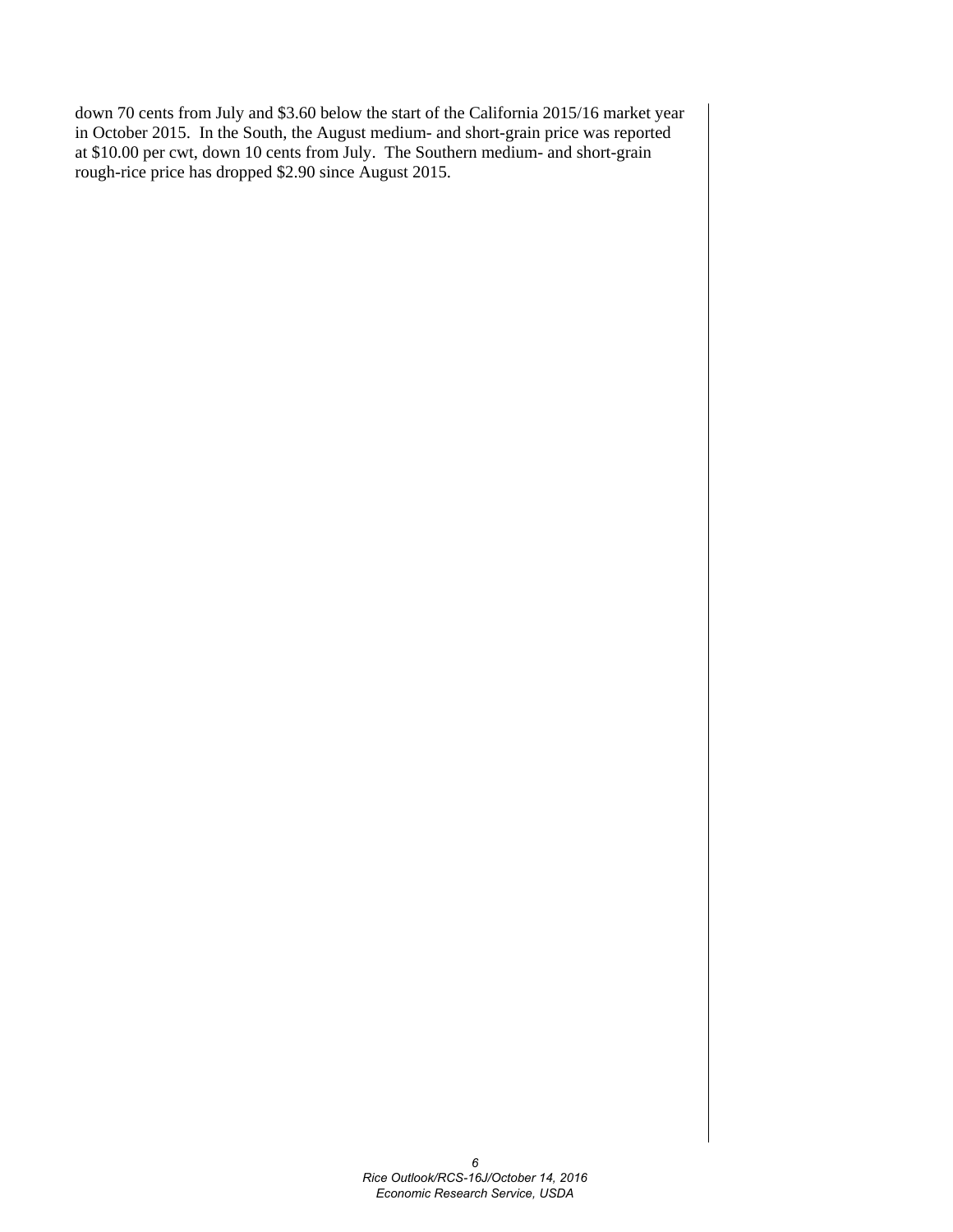down 70 cents from July and \$3.60 below the start of the California 2015/16 market year in October 2015. In the South, the August medium- and short-grain price was reported at \$10.00 per cwt, down 10 cents from July. The Southern medium- and short-grain rough-rice price has dropped \$2.90 since August 2015.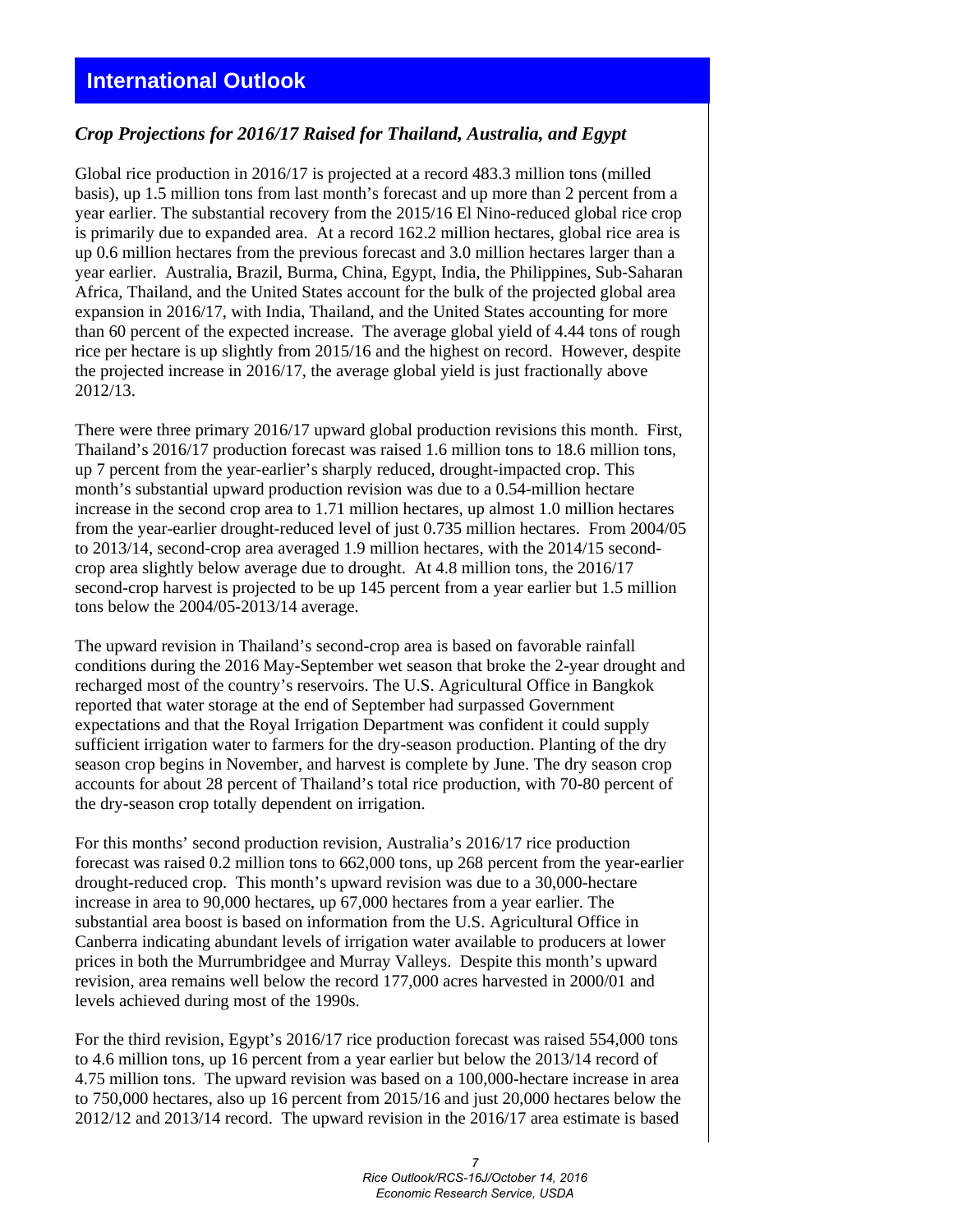#### *Crop Projections for 2016/17 Raised for Thailand, Australia, and Egypt*

Global rice production in 2016/17 is projected at a record 483.3 million tons (milled basis), up 1.5 million tons from last month's forecast and up more than 2 percent from a year earlier. The substantial recovery from the 2015/16 El Nino-reduced global rice crop is primarily due to expanded area. At a record 162.2 million hectares, global rice area is up 0.6 million hectares from the previous forecast and 3.0 million hectares larger than a year earlier. Australia, Brazil, Burma, China, Egypt, India, the Philippines, Sub-Saharan Africa, Thailand, and the United States account for the bulk of the projected global area expansion in 2016/17, with India, Thailand, and the United States accounting for more than 60 percent of the expected increase. The average global yield of 4.44 tons of rough rice per hectare is up slightly from 2015/16 and the highest on record. However, despite the projected increase in 2016/17, the average global yield is just fractionally above 2012/13.

There were three primary 2016/17 upward global production revisions this month. First, Thailand's 2016/17 production forecast was raised 1.6 million tons to 18.6 million tons, up 7 percent from the year-earlier's sharply reduced, drought-impacted crop. This month's substantial upward production revision was due to a 0.54-million hectare increase in the second crop area to 1.71 million hectares, up almost 1.0 million hectares from the year-earlier drought-reduced level of just 0.735 million hectares. From 2004/05 to 2013/14, second-crop area averaged 1.9 million hectares, with the 2014/15 secondcrop area slightly below average due to drought. At 4.8 million tons, the 2016/17 second-crop harvest is projected to be up 145 percent from a year earlier but 1.5 million tons below the 2004/05-2013/14 average.

The upward revision in Thailand's second-crop area is based on favorable rainfall conditions during the 2016 May-September wet season that broke the 2-year drought and recharged most of the country's reservoirs. The U.S. Agricultural Office in Bangkok reported that water storage at the end of September had surpassed Government expectations and that the Royal Irrigation Department was confident it could supply sufficient irrigation water to farmers for the dry-season production. Planting of the dry season crop begins in November, and harvest is complete by June. The dry season crop accounts for about 28 percent of Thailand's total rice production, with 70-80 percent of the dry-season crop totally dependent on irrigation.

For this months' second production revision, Australia's 2016/17 rice production forecast was raised 0.2 million tons to 662,000 tons, up 268 percent from the year-earlier drought-reduced crop. This month's upward revision was due to a 30,000-hectare increase in area to 90,000 hectares, up 67,000 hectares from a year earlier. The substantial area boost is based on information from the U.S. Agricultural Office in Canberra indicating abundant levels of irrigation water available to producers at lower prices in both the Murrumbridgee and Murray Valleys. Despite this month's upward revision, area remains well below the record 177,000 acres harvested in 2000/01 and levels achieved during most of the 1990s.

For the third revision, Egypt's 2016/17 rice production forecast was raised 554,000 tons to 4.6 million tons, up 16 percent from a year earlier but below the 2013/14 record of 4.75 million tons. The upward revision was based on a 100,000-hectare increase in area to 750,000 hectares, also up 16 percent from 2015/16 and just 20,000 hectares below the 2012/12 and 2013/14 record. The upward revision in the 2016/17 area estimate is based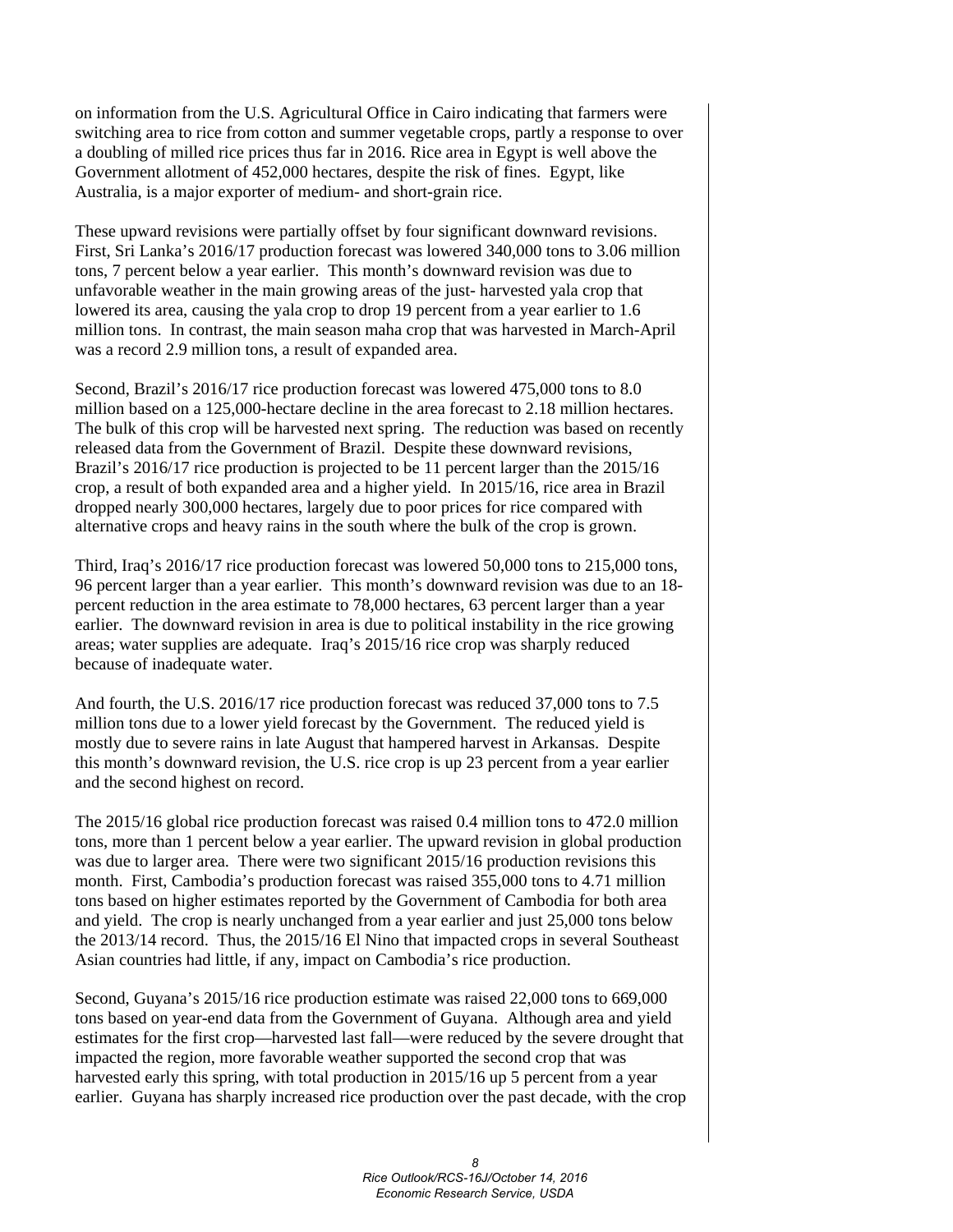on information from the U.S. Agricultural Office in Cairo indicating that farmers were switching area to rice from cotton and summer vegetable crops, partly a response to over a doubling of milled rice prices thus far in 2016. Rice area in Egypt is well above the Government allotment of 452,000 hectares, despite the risk of fines. Egypt, like Australia, is a major exporter of medium- and short-grain rice.

These upward revisions were partially offset by four significant downward revisions. First, Sri Lanka's 2016/17 production forecast was lowered 340,000 tons to 3.06 million tons, 7 percent below a year earlier. This month's downward revision was due to unfavorable weather in the main growing areas of the just- harvested yala crop that lowered its area, causing the yala crop to drop 19 percent from a year earlier to 1.6 million tons. In contrast, the main season maha crop that was harvested in March-April was a record 2.9 million tons, a result of expanded area.

Second, Brazil's 2016/17 rice production forecast was lowered 475,000 tons to 8.0 million based on a 125,000-hectare decline in the area forecast to 2.18 million hectares. The bulk of this crop will be harvested next spring. The reduction was based on recently released data from the Government of Brazil. Despite these downward revisions, Brazil's 2016/17 rice production is projected to be 11 percent larger than the 2015/16 crop, a result of both expanded area and a higher yield. In 2015/16, rice area in Brazil dropped nearly 300,000 hectares, largely due to poor prices for rice compared with alternative crops and heavy rains in the south where the bulk of the crop is grown.

Third, Iraq's 2016/17 rice production forecast was lowered 50,000 tons to 215,000 tons, 96 percent larger than a year earlier. This month's downward revision was due to an 18 percent reduction in the area estimate to 78,000 hectares, 63 percent larger than a year earlier. The downward revision in area is due to political instability in the rice growing areas; water supplies are adequate. Iraq's 2015/16 rice crop was sharply reduced because of inadequate water.

And fourth, the U.S. 2016/17 rice production forecast was reduced 37,000 tons to 7.5 million tons due to a lower yield forecast by the Government. The reduced yield is mostly due to severe rains in late August that hampered harvest in Arkansas. Despite this month's downward revision, the U.S. rice crop is up 23 percent from a year earlier and the second highest on record.

The 2015/16 global rice production forecast was raised 0.4 million tons to 472.0 million tons, more than 1 percent below a year earlier. The upward revision in global production was due to larger area. There were two significant 2015/16 production revisions this month. First, Cambodia's production forecast was raised 355,000 tons to 4.71 million tons based on higher estimates reported by the Government of Cambodia for both area and yield. The crop is nearly unchanged from a year earlier and just 25,000 tons below the 2013/14 record. Thus, the 2015/16 El Nino that impacted crops in several Southeast Asian countries had little, if any, impact on Cambodia's rice production.

Second, Guyana's 2015/16 rice production estimate was raised 22,000 tons to 669,000 tons based on year-end data from the Government of Guyana. Although area and yield estimates for the first crop—harvested last fall—were reduced by the severe drought that impacted the region, more favorable weather supported the second crop that was harvested early this spring, with total production in 2015/16 up 5 percent from a year earlier. Guyana has sharply increased rice production over the past decade, with the crop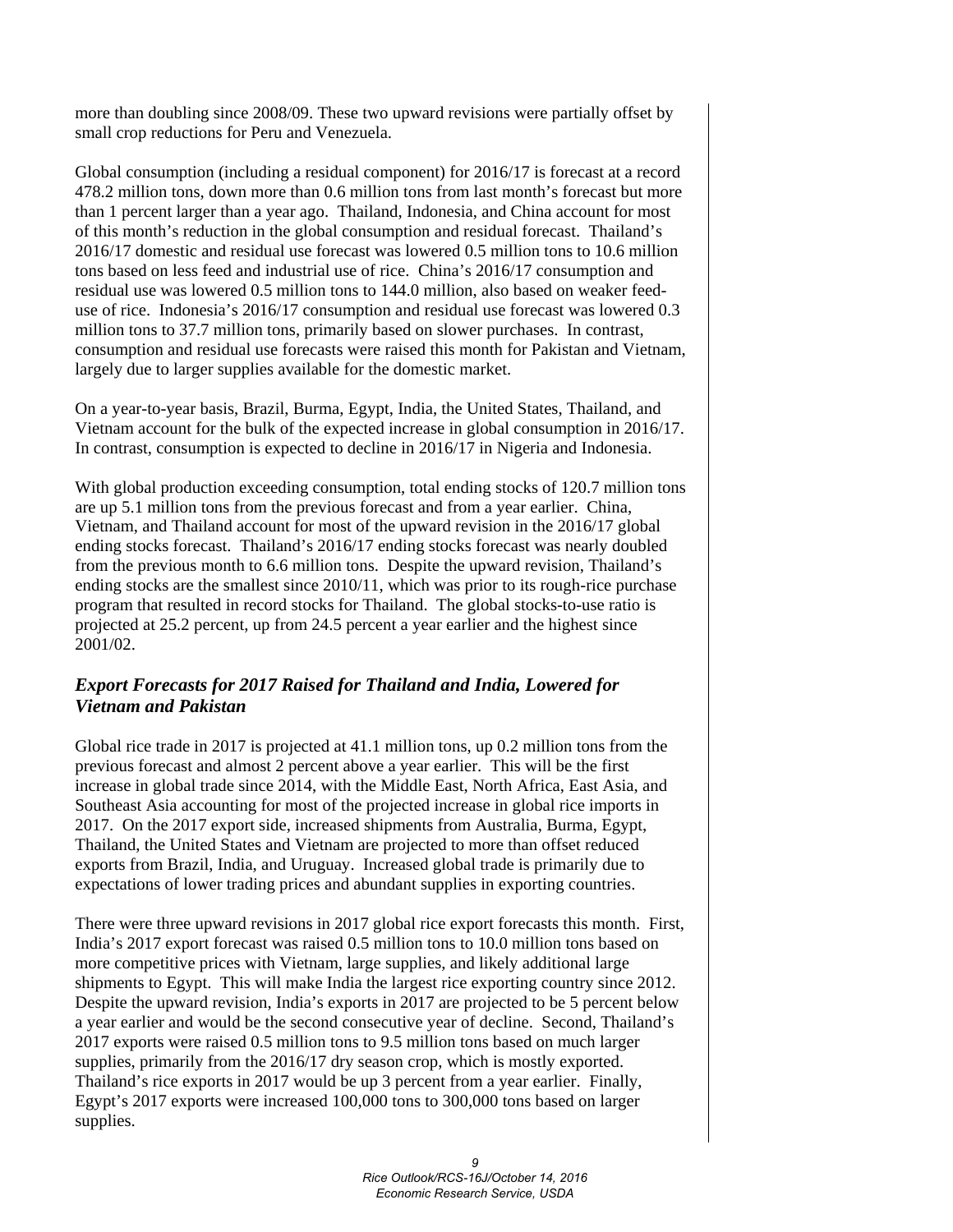more than doubling since 2008/09. These two upward revisions were partially offset by small crop reductions for Peru and Venezuela.

Global consumption (including a residual component) for 2016/17 is forecast at a record 478.2 million tons, down more than 0.6 million tons from last month's forecast but more than 1 percent larger than a year ago. Thailand, Indonesia, and China account for most of this month's reduction in the global consumption and residual forecast. Thailand's 2016/17 domestic and residual use forecast was lowered 0.5 million tons to 10.6 million tons based on less feed and industrial use of rice. China's 2016/17 consumption and residual use was lowered 0.5 million tons to 144.0 million, also based on weaker feeduse of rice. Indonesia's 2016/17 consumption and residual use forecast was lowered 0.3 million tons to 37.7 million tons, primarily based on slower purchases. In contrast, consumption and residual use forecasts were raised this month for Pakistan and Vietnam, largely due to larger supplies available for the domestic market.

On a year-to-year basis, Brazil, Burma, Egypt, India, the United States, Thailand, and Vietnam account for the bulk of the expected increase in global consumption in 2016/17. In contrast, consumption is expected to decline in 2016/17 in Nigeria and Indonesia.

With global production exceeding consumption, total ending stocks of 120.7 million tons are up 5.1 million tons from the previous forecast and from a year earlier. China, Vietnam, and Thailand account for most of the upward revision in the 2016/17 global ending stocks forecast. Thailand's 2016/17 ending stocks forecast was nearly doubled from the previous month to 6.6 million tons. Despite the upward revision, Thailand's ending stocks are the smallest since 2010/11, which was prior to its rough-rice purchase program that resulted in record stocks for Thailand. The global stocks-to-use ratio is projected at 25.2 percent, up from 24.5 percent a year earlier and the highest since 2001/02.

### *Export Forecasts for 2017 Raised for Thailand and India, Lowered for Vietnam and Pakistan*

Global rice trade in 2017 is projected at 41.1 million tons, up 0.2 million tons from the previous forecast and almost 2 percent above a year earlier. This will be the first increase in global trade since 2014, with the Middle East, North Africa, East Asia, and Southeast Asia accounting for most of the projected increase in global rice imports in 2017. On the 2017 export side, increased shipments from Australia, Burma, Egypt, Thailand, the United States and Vietnam are projected to more than offset reduced exports from Brazil, India, and Uruguay. Increased global trade is primarily due to expectations of lower trading prices and abundant supplies in exporting countries.

There were three upward revisions in 2017 global rice export forecasts this month. First, India's 2017 export forecast was raised 0.5 million tons to 10.0 million tons based on more competitive prices with Vietnam, large supplies, and likely additional large shipments to Egypt. This will make India the largest rice exporting country since 2012. Despite the upward revision, India's exports in 2017 are projected to be 5 percent below a year earlier and would be the second consecutive year of decline. Second, Thailand's 2017 exports were raised 0.5 million tons to 9.5 million tons based on much larger supplies, primarily from the 2016/17 dry season crop, which is mostly exported. Thailand's rice exports in 2017 would be up 3 percent from a year earlier. Finally, Egypt's 2017 exports were increased 100,000 tons to 300,000 tons based on larger supplies.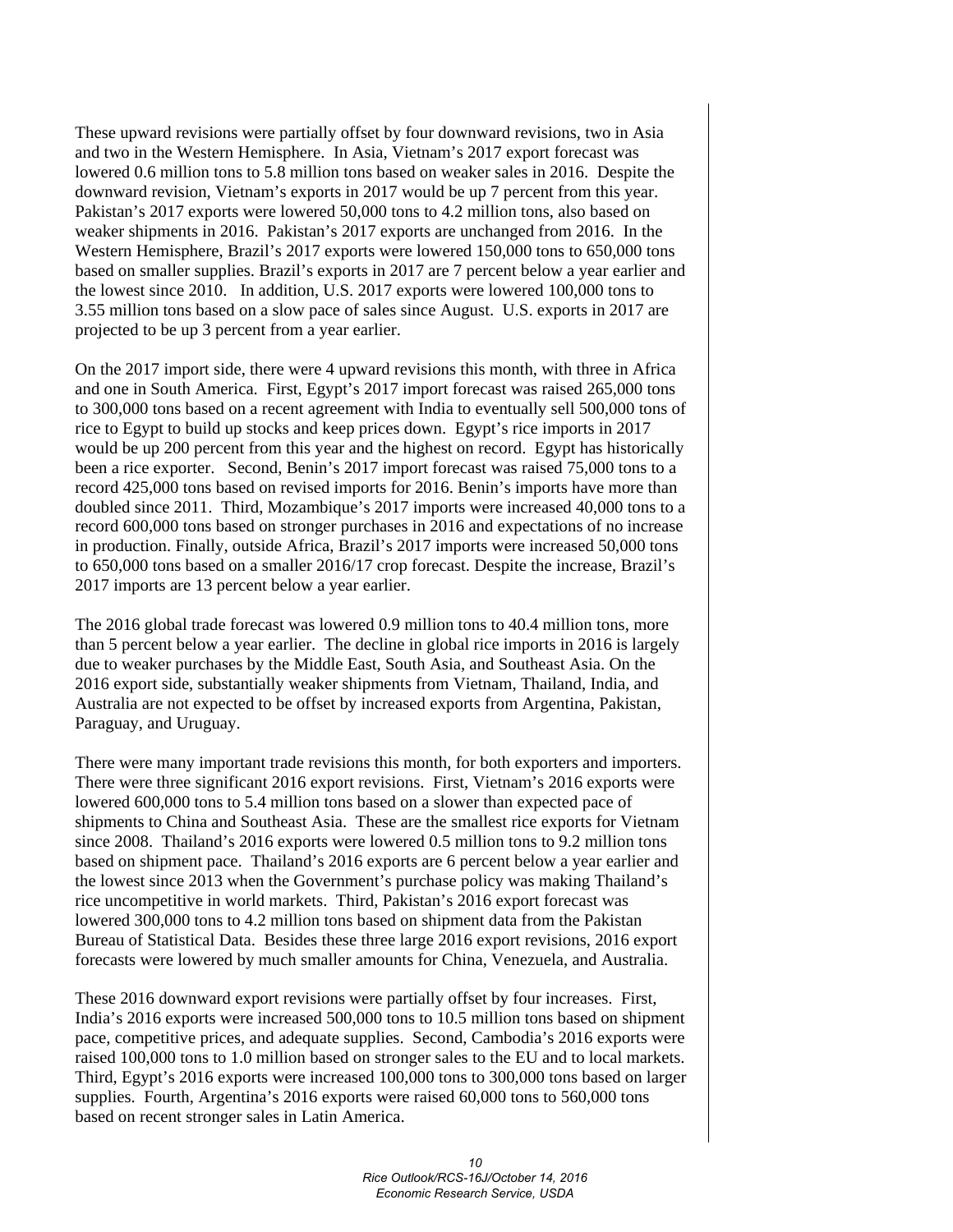These upward revisions were partially offset by four downward revisions, two in Asia and two in the Western Hemisphere. In Asia, Vietnam's 2017 export forecast was lowered 0.6 million tons to 5.8 million tons based on weaker sales in 2016. Despite the downward revision, Vietnam's exports in 2017 would be up 7 percent from this year. Pakistan's 2017 exports were lowered 50,000 tons to 4.2 million tons, also based on weaker shipments in 2016. Pakistan's 2017 exports are unchanged from 2016. In the Western Hemisphere, Brazil's 2017 exports were lowered 150,000 tons to 650,000 tons based on smaller supplies. Brazil's exports in 2017 are 7 percent below a year earlier and the lowest since 2010. In addition, U.S. 2017 exports were lowered 100,000 tons to 3.55 million tons based on a slow pace of sales since August. U.S. exports in 2017 are projected to be up 3 percent from a year earlier.

On the 2017 import side, there were 4 upward revisions this month, with three in Africa and one in South America. First, Egypt's 2017 import forecast was raised 265,000 tons to 300,000 tons based on a recent agreement with India to eventually sell 500,000 tons of rice to Egypt to build up stocks and keep prices down. Egypt's rice imports in 2017 would be up 200 percent from this year and the highest on record. Egypt has historically been a rice exporter. Second, Benin's 2017 import forecast was raised 75,000 tons to a record 425,000 tons based on revised imports for 2016. Benin's imports have more than doubled since 2011. Third, Mozambique's 2017 imports were increased 40,000 tons to a record 600,000 tons based on stronger purchases in 2016 and expectations of no increase in production. Finally, outside Africa, Brazil's 2017 imports were increased 50,000 tons to 650,000 tons based on a smaller 2016/17 crop forecast. Despite the increase, Brazil's 2017 imports are 13 percent below a year earlier.

The 2016 global trade forecast was lowered 0.9 million tons to 40.4 million tons, more than 5 percent below a year earlier. The decline in global rice imports in 2016 is largely due to weaker purchases by the Middle East, South Asia, and Southeast Asia. On the 2016 export side, substantially weaker shipments from Vietnam, Thailand, India, and Australia are not expected to be offset by increased exports from Argentina, Pakistan, Paraguay, and Uruguay.

There were many important trade revisions this month, for both exporters and importers. There were three significant 2016 export revisions. First, Vietnam's 2016 exports were lowered 600,000 tons to 5.4 million tons based on a slower than expected pace of shipments to China and Southeast Asia. These are the smallest rice exports for Vietnam since 2008. Thailand's 2016 exports were lowered 0.5 million tons to 9.2 million tons based on shipment pace. Thailand's 2016 exports are 6 percent below a year earlier and the lowest since 2013 when the Government's purchase policy was making Thailand's rice uncompetitive in world markets. Third, Pakistan's 2016 export forecast was lowered 300,000 tons to 4.2 million tons based on shipment data from the Pakistan Bureau of Statistical Data. Besides these three large 2016 export revisions, 2016 export forecasts were lowered by much smaller amounts for China, Venezuela, and Australia.

These 2016 downward export revisions were partially offset by four increases. First, India's 2016 exports were increased 500,000 tons to 10.5 million tons based on shipment pace, competitive prices, and adequate supplies. Second, Cambodia's 2016 exports were raised 100,000 tons to 1.0 million based on stronger sales to the EU and to local markets. Third, Egypt's 2016 exports were increased 100,000 tons to 300,000 tons based on larger supplies. Fourth, Argentina's 2016 exports were raised 60,000 tons to 560,000 tons based on recent stronger sales in Latin America.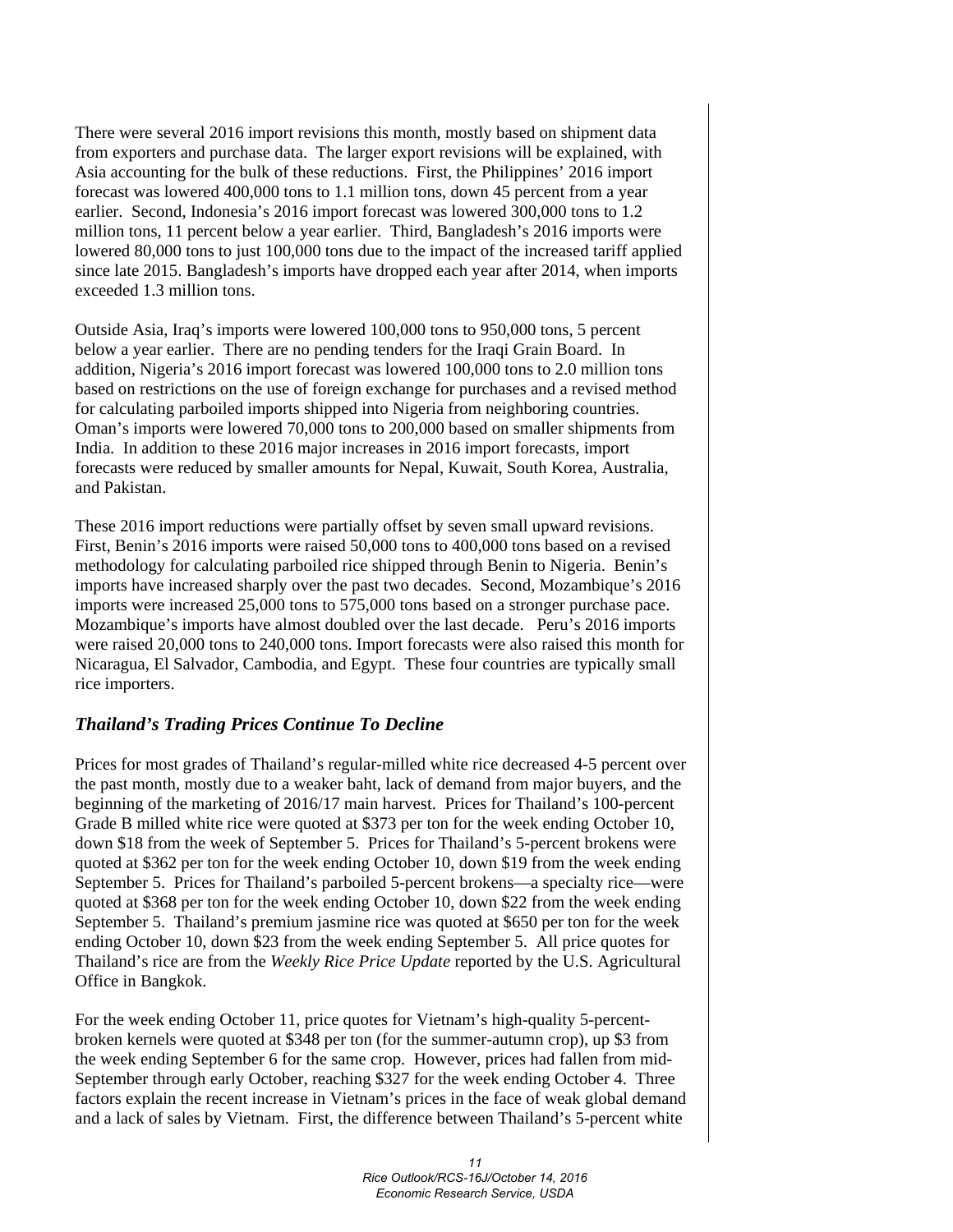There were several 2016 import revisions this month, mostly based on shipment data from exporters and purchase data. The larger export revisions will be explained, with Asia accounting for the bulk of these reductions. First, the Philippines' 2016 import forecast was lowered 400,000 tons to 1.1 million tons, down 45 percent from a year earlier. Second, Indonesia's 2016 import forecast was lowered 300,000 tons to 1.2 million tons, 11 percent below a year earlier. Third, Bangladesh's 2016 imports were lowered 80,000 tons to just 100,000 tons due to the impact of the increased tariff applied since late 2015. Bangladesh's imports have dropped each year after 2014, when imports exceeded 1.3 million tons.

Outside Asia, Iraq's imports were lowered 100,000 tons to 950,000 tons, 5 percent below a year earlier. There are no pending tenders for the Iraqi Grain Board. In addition, Nigeria's 2016 import forecast was lowered 100,000 tons to 2.0 million tons based on restrictions on the use of foreign exchange for purchases and a revised method for calculating parboiled imports shipped into Nigeria from neighboring countries. Oman's imports were lowered 70,000 tons to 200,000 based on smaller shipments from India. In addition to these 2016 major increases in 2016 import forecasts, import forecasts were reduced by smaller amounts for Nepal, Kuwait, South Korea, Australia, and Pakistan.

These 2016 import reductions were partially offset by seven small upward revisions. First, Benin's 2016 imports were raised 50,000 tons to 400,000 tons based on a revised methodology for calculating parboiled rice shipped through Benin to Nigeria. Benin's imports have increased sharply over the past two decades. Second, Mozambique's 2016 imports were increased 25,000 tons to 575,000 tons based on a stronger purchase pace. Mozambique's imports have almost doubled over the last decade. Peru's 2016 imports were raised 20,000 tons to 240,000 tons. Import forecasts were also raised this month for Nicaragua, El Salvador, Cambodia, and Egypt. These four countries are typically small rice importers.

#### *Thailand's Trading Prices Continue To Decline*

Prices for most grades of Thailand's regular-milled white rice decreased 4-5 percent over the past month, mostly due to a weaker baht, lack of demand from major buyers, and the beginning of the marketing of 2016/17 main harvest. Prices for Thailand's 100-percent Grade B milled white rice were quoted at \$373 per ton for the week ending October 10, down \$18 from the week of September 5. Prices for Thailand's 5-percent brokens were quoted at \$362 per ton for the week ending October 10, down \$19 from the week ending September 5. Prices for Thailand's parboiled 5-percent brokens—a specialty rice—were quoted at \$368 per ton for the week ending October 10, down \$22 from the week ending September 5. Thailand's premium jasmine rice was quoted at \$650 per ton for the week ending October 10, down \$23 from the week ending September 5. All price quotes for Thailand's rice are from the *Weekly Rice Price Update* reported by the U.S. Agricultural Office in Bangkok.

For the week ending October 11, price quotes for Vietnam's high-quality 5-percentbroken kernels were quoted at \$348 per ton (for the summer-autumn crop), up \$3 from the week ending September 6 for the same crop. However, prices had fallen from mid-September through early October, reaching \$327 for the week ending October 4. Three factors explain the recent increase in Vietnam's prices in the face of weak global demand and a lack of sales by Vietnam. First, the difference between Thailand's 5-percent white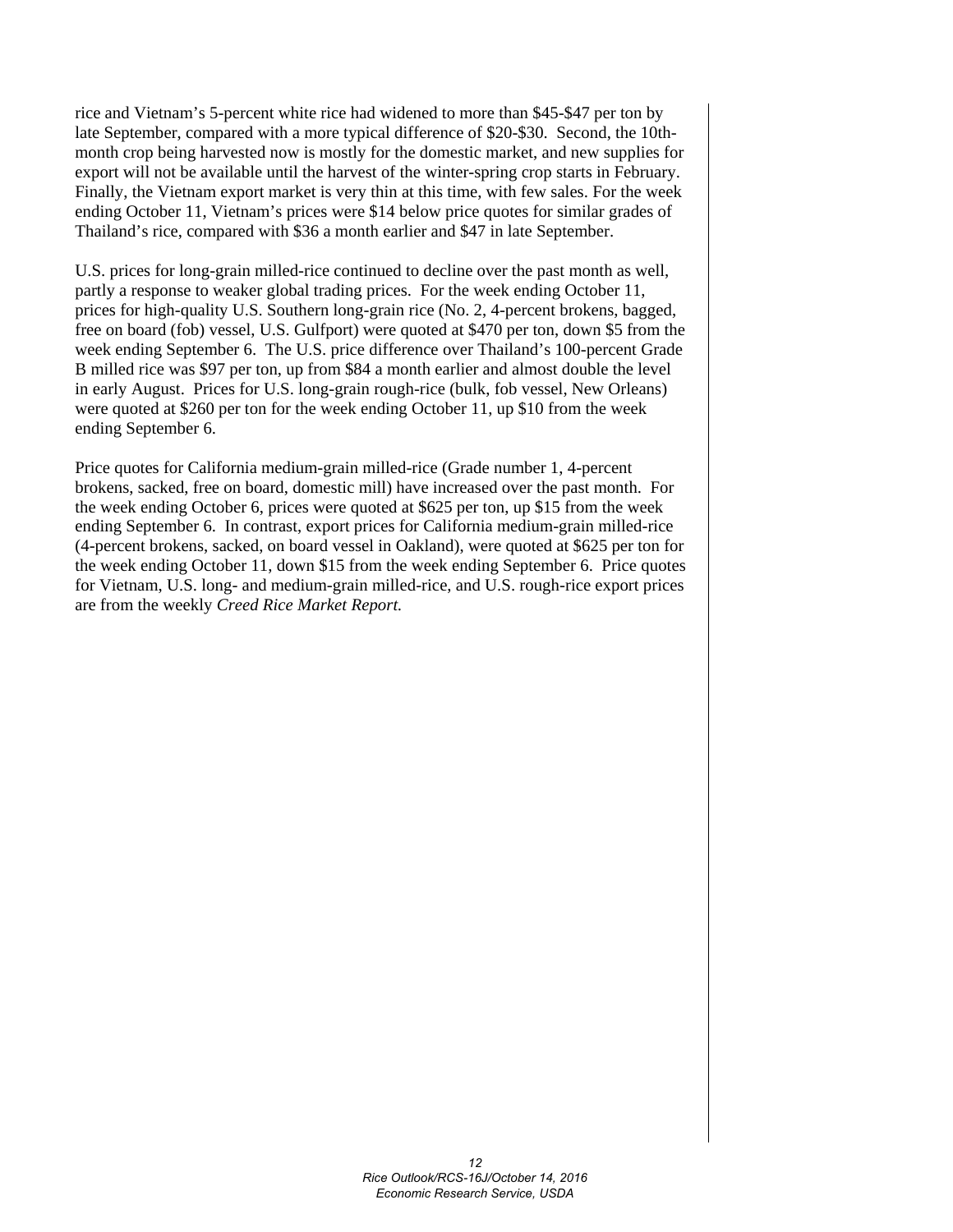rice and Vietnam's 5-percent white rice had widened to more than \$45-\$47 per ton by late September, compared with a more typical difference of \$20-\$30. Second, the 10thmonth crop being harvested now is mostly for the domestic market, and new supplies for export will not be available until the harvest of the winter-spring crop starts in February. Finally, the Vietnam export market is very thin at this time, with few sales. For the week ending October 11, Vietnam's prices were \$14 below price quotes for similar grades of Thailand's rice, compared with \$36 a month earlier and \$47 in late September.

U.S. prices for long-grain milled-rice continued to decline over the past month as well, partly a response to weaker global trading prices. For the week ending October 11, prices for high-quality U.S. Southern long-grain rice (No. 2, 4-percent brokens, bagged, free on board (fob) vessel, U.S. Gulfport) were quoted at \$470 per ton, down \$5 from the week ending September 6. The U.S. price difference over Thailand's 100-percent Grade B milled rice was \$97 per ton, up from \$84 a month earlier and almost double the level in early August. Prices for U.S. long-grain rough-rice (bulk, fob vessel, New Orleans) were quoted at \$260 per ton for the week ending October 11, up \$10 from the week ending September 6.

Price quotes for California medium-grain milled-rice (Grade number 1, 4-percent brokens, sacked, free on board, domestic mill) have increased over the past month. For the week ending October 6, prices were quoted at \$625 per ton, up \$15 from the week ending September 6. In contrast, export prices for California medium-grain milled-rice (4-percent brokens, sacked, on board vessel in Oakland), were quoted at \$625 per ton for the week ending October 11, down \$15 from the week ending September 6. Price quotes for Vietnam, U.S. long- and medium-grain milled-rice, and U.S. rough-rice export prices are from the weekly *Creed Rice Market Report.*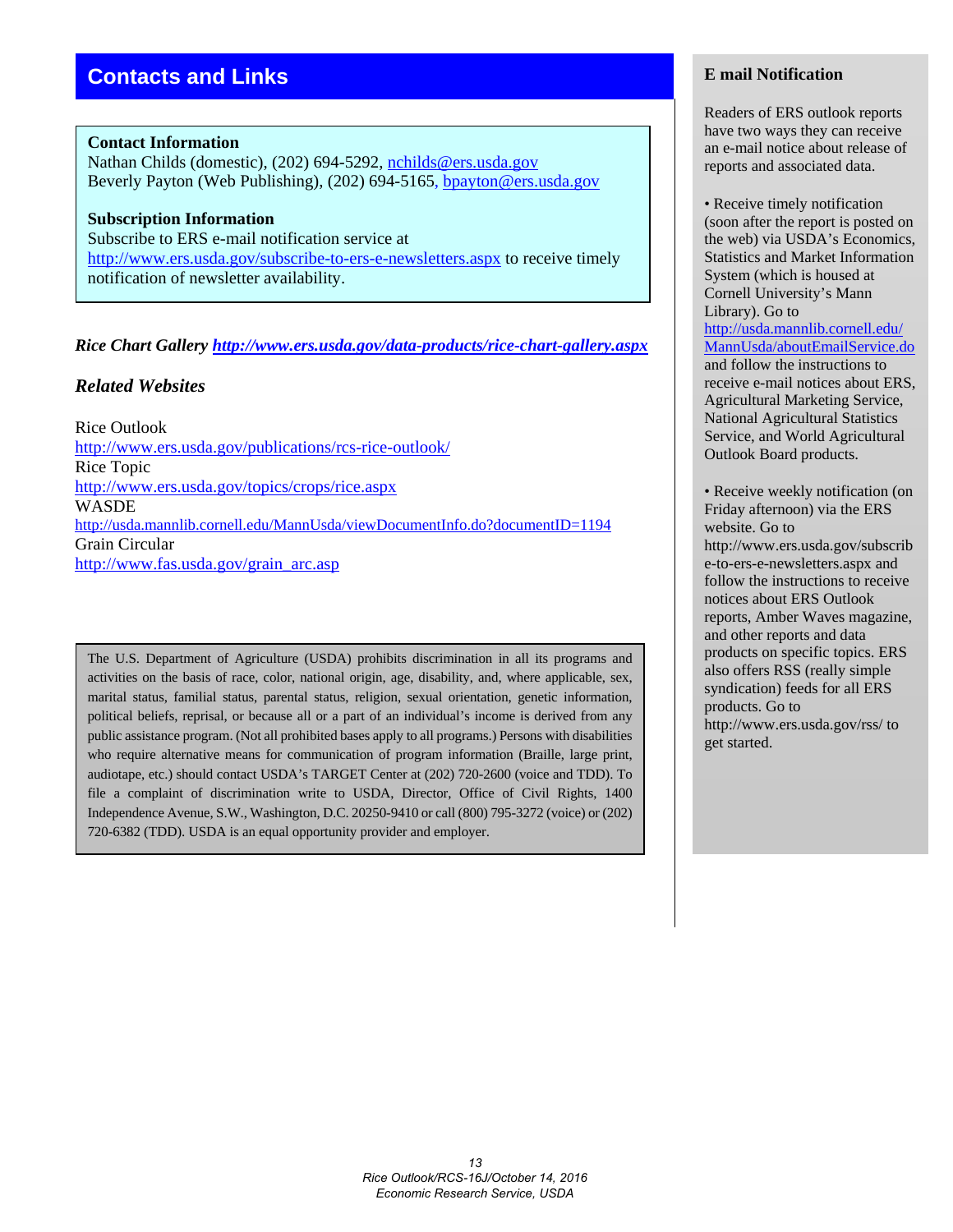# **Contacts and Links**

#### **Contact Information**

Nathan Childs (domestic), (202) 694-5292, [nchilds@ers.usda.gov](mailto:nchilds@ers.usda.gov) Beverly Payton (Web Publishing), (202) 694-5165, [bpayton@ers.usda.gov](mailto:bpayton@ers.usda.gov)

# **Subscription Information**

Subscribe to ERS e-mail notification service at <http://www.ers.usda.gov/subscribe-to-ers-e-newsletters.aspx> to receive timely notification of newsletter availability.

#### *Rice Chart Gallery<http://www.ers.usda.gov/data-products/rice-chart-gallery.aspx>*

#### *Related Websites*

Rice Outlook <http://www.ers.usda.gov/publications/rcs-rice-outlook/> Rice Topic <http://www.ers.usda.gov/topics/crops/rice.aspx> **WASDE** <http://usda.mannlib.cornell.edu/MannUsda/viewDocumentInfo.do?documentID=1194> Grain Circular [http://www.fas.usda.gov/grain\\_arc.asp](http://www.fas.usda.gov/grain_arc.asp)

The U.S. Department of Agriculture (USDA) prohibits discrimination in all its programs and activities on the basis of race, color, national origin, age, disability, and, where applicable, sex, marital status, familial status, parental status, religion, sexual orientation, genetic information, political beliefs, reprisal, or because all or a part of an individual's income is derived from any public assistance program. (Not all prohibited bases apply to all programs.) Persons with disabilities who require alternative means for communication of program information (Braille, large print, audiotape, etc.) should contact USDA's TARGET Center at (202) 720-2600 (voice and TDD). To file a complaint of discrimination write to USDA, Director, Office of Civil Rights, 1400 Independence Avenue, S.W., Washington, D.C. 20250-9410 or call (800) 795-3272 (voice) or (202) 720-6382 (TDD). USDA is an equal opportunity provider and employer.

#### **E mail Notification**

Readers of ERS outlook reports have two ways they can receive an e-mail notice about release of reports and associated data.

• Receive timely notification (soon after the report is posted on the web) via USDA's Economics, Statistics and Market Information System (which is housed at Cornell University's Mann Library). Go to [http://usda.mannlib.cornell.edu/](http://usda.mannlib.cornell.edu/MannUsda/aboutEmailService.do) [MannUsda/aboutEmailService.do](http://usda.mannlib.cornell.edu/MannUsda/aboutEmailService.do) and follow the instructions to receive e-mail notices about ERS, Agricultural Marketing Service, National Agricultural Statistics Service, and World Agricultural Outlook Board products.

• Receive weekly notification (on Friday afternoon) via the ERS website. Go to http://www.ers.usda.gov/subscrib e-to-ers-e-newsletters.aspx and follow the instructions to receive notices about ERS Outlook reports, Amber Waves magazine, and other reports and data products on specific topics. ERS also offers RSS (really simple syndication) feeds for all ERS products. Go to http://www.ers.usda.gov/rss/ to get started.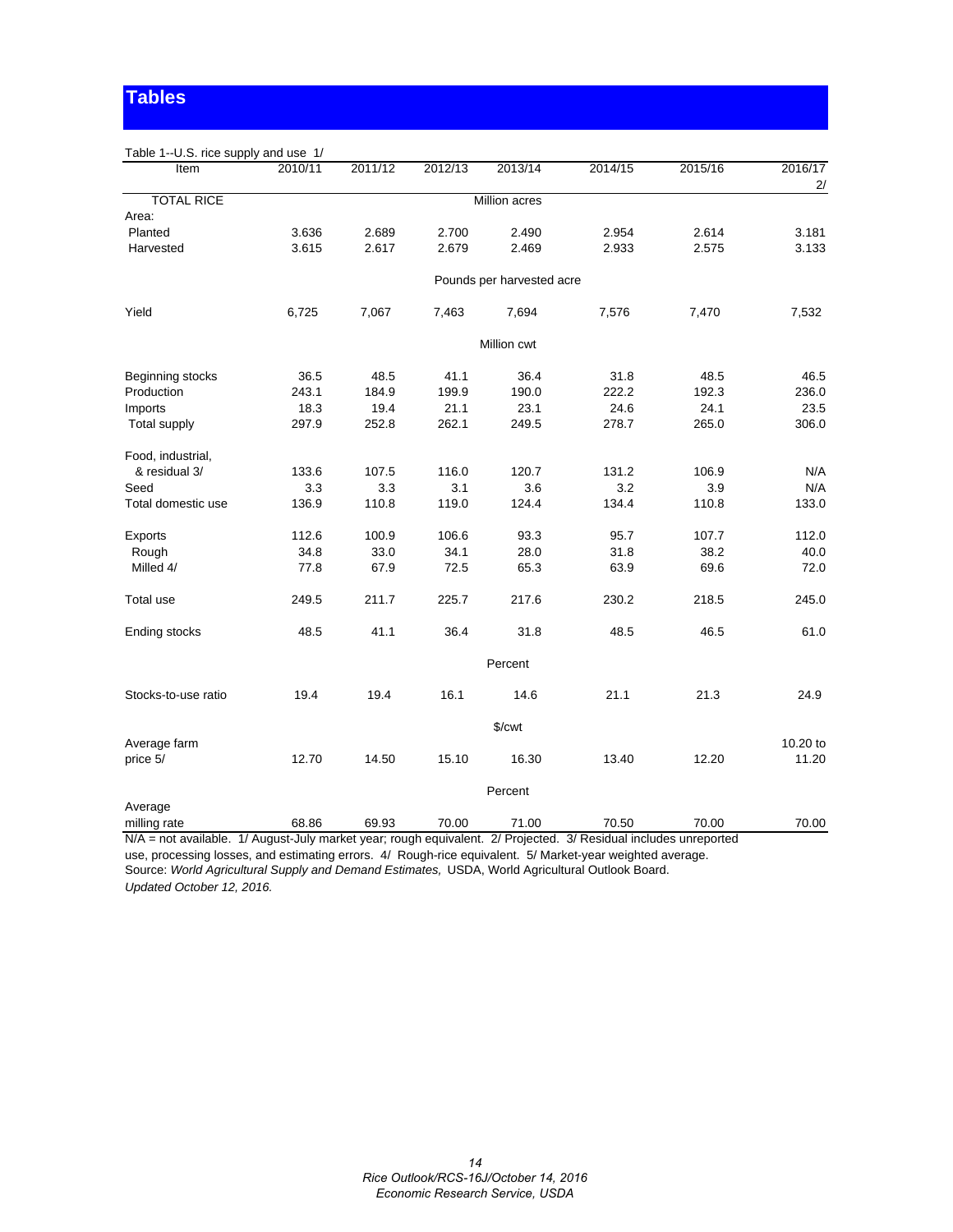# **Tables**

| Table 1--U.S. rice supply and use 1/                                                                             |         |         |         |                           |         |         |               |
|------------------------------------------------------------------------------------------------------------------|---------|---------|---------|---------------------------|---------|---------|---------------|
| Item                                                                                                             | 2010/11 | 2011/12 | 2012/13 | 2013/14                   | 2014/15 | 2015/16 | 2016/17<br>2/ |
| <b>TOTAL RICE</b>                                                                                                |         |         |         | <b>Million acres</b>      |         |         |               |
| Area:                                                                                                            |         |         |         |                           |         |         |               |
| Planted                                                                                                          | 3.636   | 2.689   | 2.700   | 2.490                     | 2.954   | 2.614   | 3.181         |
| Harvested                                                                                                        | 3.615   | 2.617   | 2.679   | 2.469                     | 2.933   | 2.575   | 3.133         |
|                                                                                                                  |         |         |         | Pounds per harvested acre |         |         |               |
| Yield                                                                                                            | 6,725   | 7,067   | 7,463   | 7,694                     | 7,576   | 7,470   | 7,532         |
|                                                                                                                  |         |         |         | Million cwt               |         |         |               |
| Beginning stocks                                                                                                 | 36.5    | 48.5    | 41.1    | 36.4                      | 31.8    | 48.5    | 46.5          |
| Production                                                                                                       | 243.1   | 184.9   | 199.9   | 190.0                     | 222.2   | 192.3   | 236.0         |
| Imports                                                                                                          | 18.3    | 19.4    | 21.1    | 23.1                      | 24.6    | 24.1    | 23.5          |
| Total supply                                                                                                     | 297.9   | 252.8   | 262.1   | 249.5                     | 278.7   | 265.0   | 306.0         |
| Food, industrial,                                                                                                |         |         |         |                           |         |         |               |
| & residual 3/                                                                                                    | 133.6   | 107.5   | 116.0   | 120.7                     | 131.2   | 106.9   | N/A           |
| Seed                                                                                                             | 3.3     | 3.3     | 3.1     | 3.6                       | 3.2     | 3.9     | N/A           |
| Total domestic use                                                                                               | 136.9   | 110.8   | 119.0   | 124.4                     | 134.4   | 110.8   | 133.0         |
| Exports                                                                                                          | 112.6   | 100.9   | 106.6   | 93.3                      | 95.7    | 107.7   | 112.0         |
| Rough                                                                                                            | 34.8    | 33.0    | 34.1    | 28.0                      | 31.8    | 38.2    | 40.0          |
| Milled 4/                                                                                                        | 77.8    | 67.9    | 72.5    | 65.3                      | 63.9    | 69.6    | 72.0          |
| Total use                                                                                                        | 249.5   | 211.7   | 225.7   | 217.6                     | 230.2   | 218.5   | 245.0         |
| Ending stocks                                                                                                    | 48.5    | 41.1    | 36.4    | 31.8                      | 48.5    | 46.5    | 61.0          |
|                                                                                                                  |         |         |         | Percent                   |         |         |               |
| Stocks-to-use ratio                                                                                              | 19.4    | 19.4    | 16.1    | 14.6                      | 21.1    | 21.3    | 24.9          |
|                                                                                                                  |         |         |         | $\sqrt{\text{cwt}}$       |         |         |               |
| Average farm                                                                                                     |         |         |         |                           |         |         | 10.20 to      |
| price 5/                                                                                                         | 12.70   | 14.50   | 15.10   | 16.30                     | 13.40   | 12.20   | 11.20         |
|                                                                                                                  |         |         |         | Percent                   |         |         |               |
| Average                                                                                                          |         |         |         |                           |         |         |               |
| milling rate                                                                                                     | 68.86   | 69.93   | 70.00   | 71.00                     | 70.50   | 70.00   | 70.00         |
| N/A = not available. 1/ August-July market year; rough equivalent. 2/ Projected. 3/ Residual includes unreported |         |         |         |                           |         |         |               |

use, processing losses, and estimating errors. 4/ Rough-rice equivalent. 5/ Market-year weighted average. Source: *World Agricultural Supply and Demand Estimates,* USDA, World Agricultural Outlook Board. *Updated October 12, 2016.*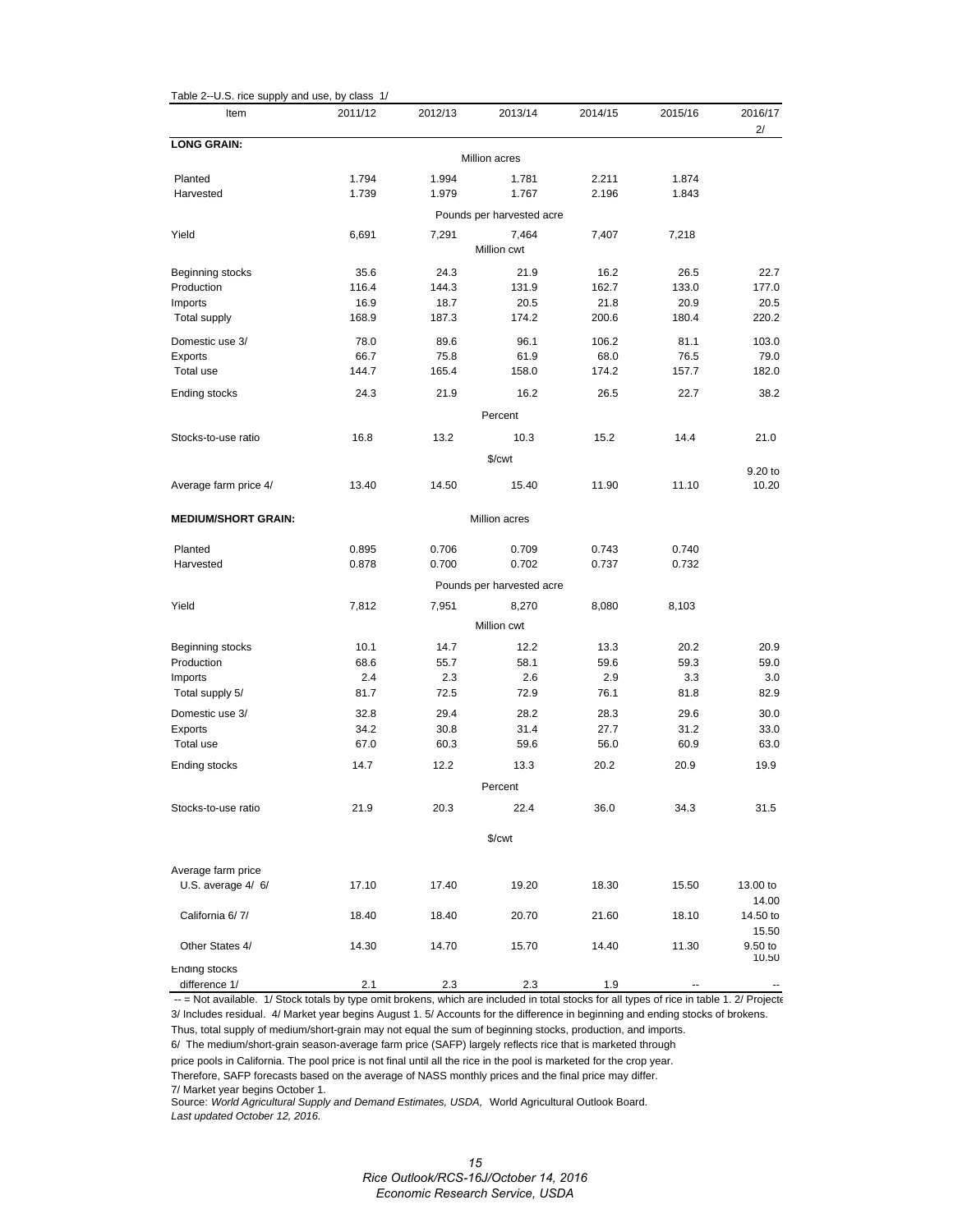| Table 2--U.S. rice supply and use, by class 1/ |         |         |                           |         |         |                   |
|------------------------------------------------|---------|---------|---------------------------|---------|---------|-------------------|
| Item                                           | 2011/12 | 2012/13 | 2013/14                   | 2014/15 | 2015/16 | 2016/17<br>2/     |
| <b>LONG GRAIN:</b>                             |         |         | Million acres             |         |         |                   |
| Planted                                        | 1.794   | 1.994   | 1.781                     | 2.211   | 1.874   |                   |
| Harvested                                      | 1.739   | 1.979   | 1.767                     | 2.196   | 1.843   |                   |
|                                                |         |         | Pounds per harvested acre |         |         |                   |
| Yield                                          | 6,691   | 7,291   | 7,464                     | 7,407   | 7,218   |                   |
|                                                |         |         | Million cwt               |         |         |                   |
| Beginning stocks                               | 35.6    | 24.3    | 21.9                      | 16.2    | 26.5    | 22.7              |
| Production                                     | 116.4   | 144.3   | 131.9                     | 162.7   | 133.0   | 177.0             |
| Imports                                        | 16.9    | 18.7    | 20.5                      | 21.8    | 20.9    | 20.5              |
| <b>Total supply</b>                            | 168.9   | 187.3   | 174.2                     | 200.6   | 180.4   | 220.2             |
| Domestic use 3/                                | 78.0    | 89.6    | 96.1                      | 106.2   | 81.1    | 103.0             |
| Exports                                        | 66.7    | 75.8    | 61.9                      | 68.0    | 76.5    | 79.0              |
| Total use                                      | 144.7   | 165.4   | 158.0                     | 174.2   | 157.7   | 182.0             |
| Ending stocks                                  | 24.3    | 21.9    | 16.2                      | 26.5    | 22.7    | 38.2              |
|                                                |         |         | Percent                   |         |         |                   |
| Stocks-to-use ratio                            | 16.8    | 13.2    | 10.3                      | 15.2    | 14.4    | 21.0              |
|                                                |         |         | \$/cwt                    |         |         |                   |
|                                                |         |         |                           |         |         | 9.20 to           |
| Average farm price 4/                          | 13.40   | 14.50   | 15.40                     | 11.90   | 11.10   | 10.20             |
| <b>MEDIUM/SHORT GRAIN:</b>                     |         |         | Million acres             |         |         |                   |
| Planted                                        | 0.895   | 0.706   | 0.709                     | 0.743   | 0.740   |                   |
| Harvested                                      | 0.878   | 0.700   | 0.702                     | 0.737   | 0.732   |                   |
|                                                |         |         | Pounds per harvested acre |         |         |                   |
| Yield                                          | 7,812   | 7,951   | 8,270                     | 8,080   | 8,103   |                   |
|                                                |         |         | Million cwt               |         |         |                   |
| Beginning stocks                               | 10.1    | 14.7    | 12.2                      | 13.3    | 20.2    | 20.9              |
| Production                                     | 68.6    | 55.7    | 58.1                      | 59.6    | 59.3    | 59.0              |
| Imports                                        | 2.4     | 2.3     | 2.6                       | 2.9     | 3.3     | 3.0               |
| Total supply 5/                                | 81.7    | 72.5    | 72.9                      | 76.1    | 81.8    | 82.9              |
| Domestic use 3/                                | 32.8    | 29.4    | 28.2                      | 28.3    | 29.6    | 30.0              |
| Exports                                        | 34.2    | 30.8    | 31.4                      | 27.7    | 31.2    | 33.0              |
| Total use                                      | 67.0    | 60.3    | 59.6                      | 56.0    | 60.9    | 63.0              |
| Ending stocks                                  | 14.7    | 12.2    | 13.3                      | 20.2    | 20.9    | 19.9              |
|                                                |         |         | Percent                   |         |         |                   |
| Stocks-to-use ratio                            | 21.9    | 20.3    | 22.4                      | 36.0    | 34.3    | 31.5              |
|                                                |         |         |                           |         |         |                   |
|                                                |         |         | \$/cwt                    |         |         |                   |
| Average farm price                             |         |         |                           |         |         |                   |
| U.S. average 4/ 6/                             | 17.10   | 17.40   | 19.20                     | 18.30   | 15.50   | 13.00 to          |
|                                                |         |         |                           |         |         | 14.00             |
| California 6/7/                                | 18.40   | 18.40   | 20.70                     | 21.60   | 18.10   | 14.50 to<br>15.50 |
| Other States 4/                                | 14.30   | 14.70   | 15.70                     | 14.40   | 11.30   | 9.50 to           |
| Ending stocks                                  |         |         |                           |         |         | 10.50             |
| difference 1/                                  | 2.1     | 2.3     | 2.3                       | 1.9     |         |                   |

-- = Not available. 1/ Stock totals by type omit brokens, which are included in total stocks for all types of rice in table 1. 2/ Projecte 3/ Includes residual. 4/ Market year begins August 1. 5/ Accounts for the difference in beginning and ending stocks of brokens.

Thus, total supply of medium/short-grain may not equal the sum of beginning stocks, production, and imports. 6/ The medium/short-grain season-average farm price (SAFP) largely reflects rice that is marketed through

price pools in California. The pool price is not final until all the rice in the pool is marketed for the crop year.

Therefore, SAFP forecasts based on the average of NASS monthly prices and the final price may differ. 7/ Market year begins October 1.

Source: *World Agricultural Supply and Demand Estimates, USDA,* World Agricultural Outlook Board. *Last updated October 12, 2016.*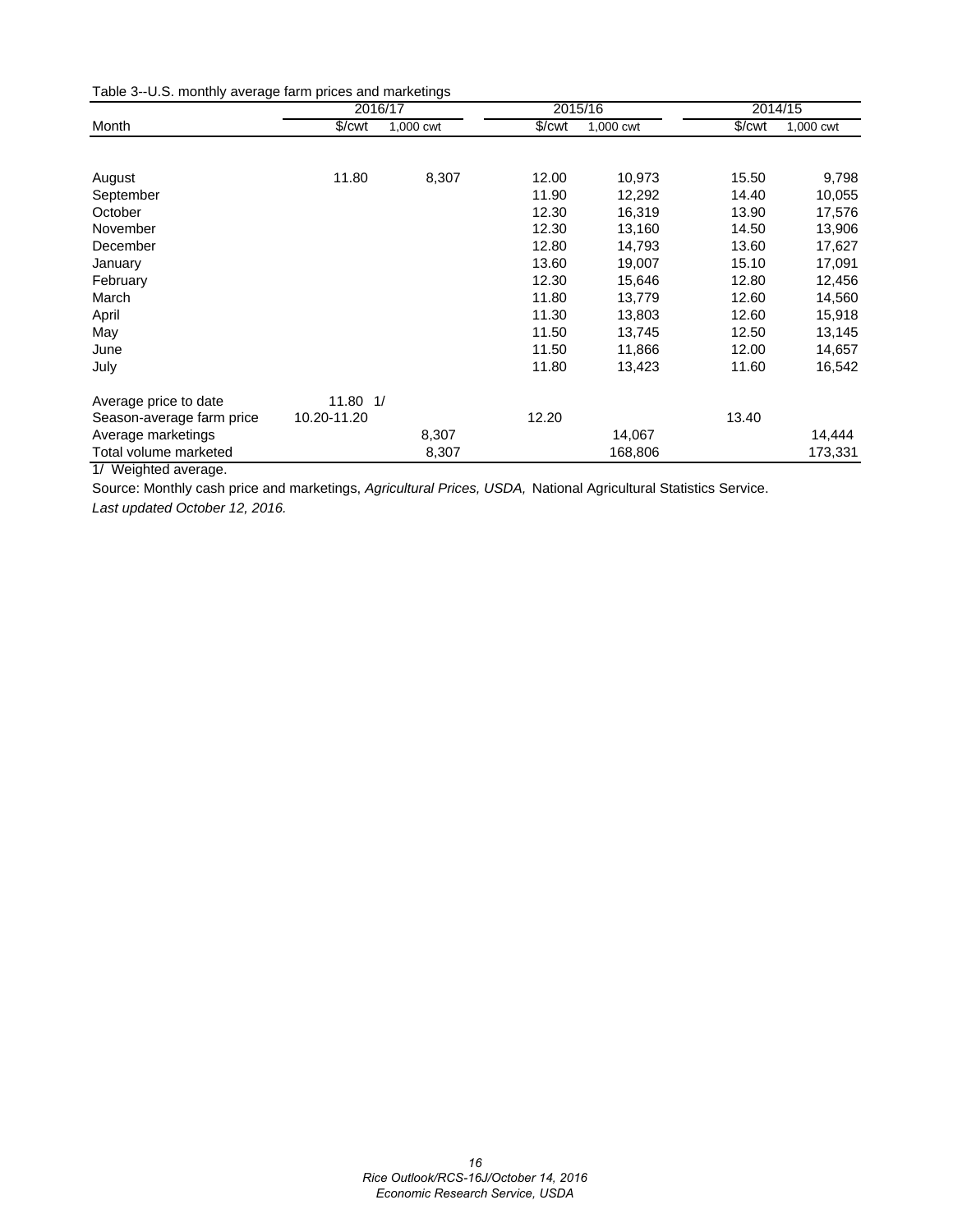Table 3--U.S. monthly average farm prices and marketings

|                           | 2016/17      |           |                      | 2015/16   | 2014/15              |           |  |
|---------------------------|--------------|-----------|----------------------|-----------|----------------------|-----------|--|
| Month                     | \$/cwt       | 1,000 cwt | $\sqrt{\frac{2}{1}}$ | 1,000 cwt | $\sqrt{\frac{2}{1}}$ | 1,000 cwt |  |
|                           |              |           |                      |           |                      |           |  |
| August                    | 11.80        | 8,307     | 12.00                | 10,973    | 15.50                | 9,798     |  |
| September                 |              |           | 11.90                | 12,292    | 14.40                | 10,055    |  |
| October                   |              |           | 12.30                | 16,319    | 13.90                | 17,576    |  |
| November                  |              |           | 12.30                | 13,160    | 14.50                | 13,906    |  |
| December                  |              |           | 12.80                | 14,793    | 13.60                | 17,627    |  |
| January                   |              |           | 13.60                | 19,007    | 15.10                | 17,091    |  |
| February                  |              |           | 12.30                | 15,646    | 12.80                | 12,456    |  |
| March                     |              |           | 11.80                | 13,779    | 12.60                | 14,560    |  |
| April                     |              |           | 11.30                | 13,803    | 12.60                | 15,918    |  |
| May                       |              |           | 11.50                | 13,745    | 12.50                | 13,145    |  |
| June                      |              |           | 11.50                | 11,866    | 12.00                | 14,657    |  |
| July                      |              |           | 11.80                | 13,423    | 11.60                | 16,542    |  |
| Average price to date     | $11.80$ $1/$ |           |                      |           |                      |           |  |
| Season-average farm price | 10.20-11.20  |           | 12.20                |           | 13.40                |           |  |
| Average marketings        |              | 8,307     |                      | 14,067    |                      | 14,444    |  |
| Total volume marketed     |              | 8,307     |                      | 168,806   |                      | 173,331   |  |

1/ Weighted average.

Source: Monthly cash price and marketings, *Agricultural Prices, USDA,* National Agricultural Statistics Service. *Last updated October 12, 2016.*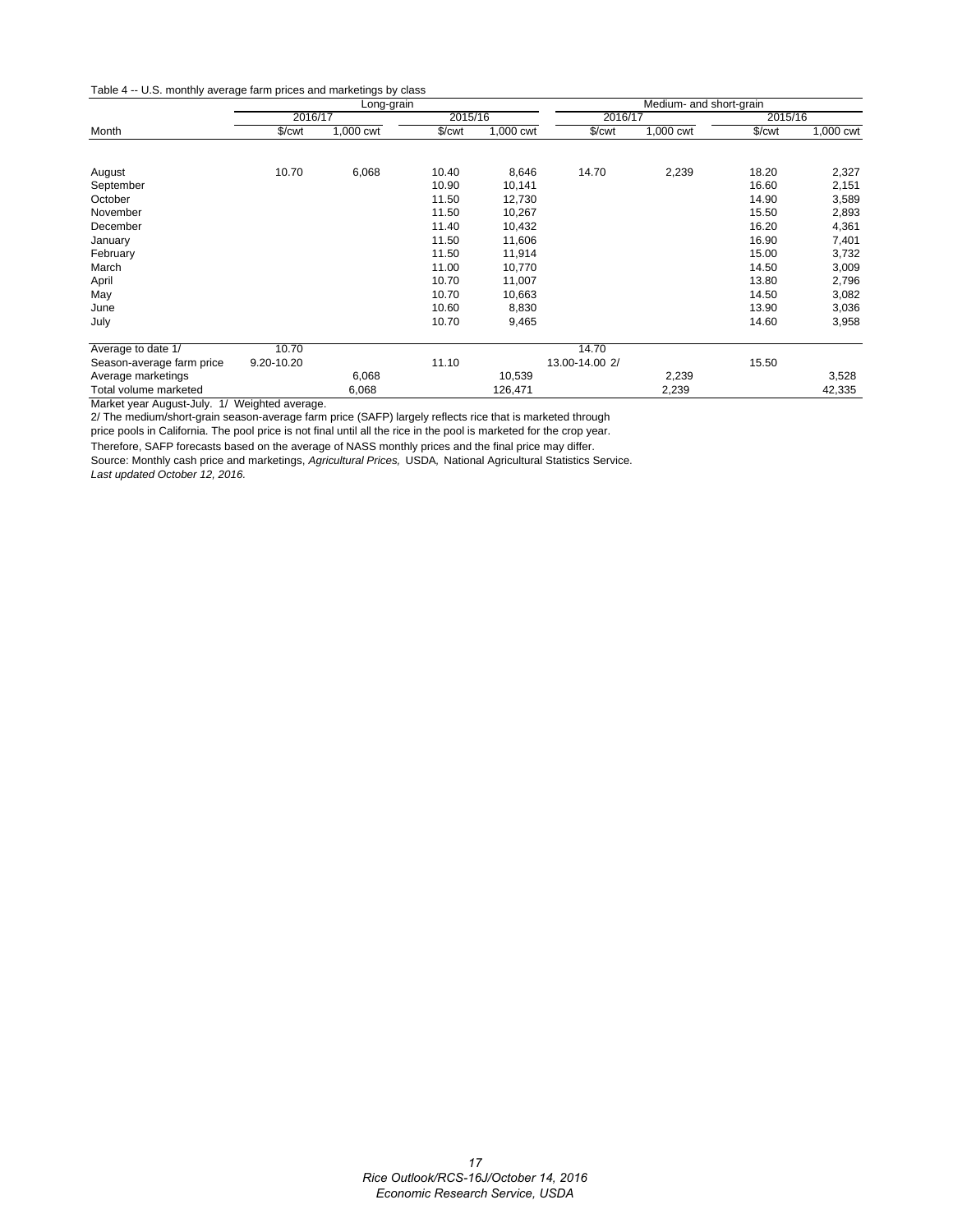#### Table 4 -- U.S. monthly average farm prices and marketings by class

|                           |                      | Long-grain |         |           | Medium- and short-grain |           |             |           |  |
|---------------------------|----------------------|------------|---------|-----------|-------------------------|-----------|-------------|-----------|--|
|                           | 2016/17              |            | 2015/16 |           | 2016/17                 |           | 2015/16     |           |  |
| Month                     | $%$ / $\mathsf{Cwt}$ | 1,000 cwt  | \$/cwt  | 1,000 cwt | \$/cwt                  | 1,000 cwt | $%$ / $cur$ | 1,000 cwt |  |
| August                    | 10.70                | 6,068      | 10.40   | 8,646     | 14.70                   | 2,239     | 18.20       | 2,327     |  |
| September                 |                      |            | 10.90   | 10,141    |                         |           | 16.60       | 2,151     |  |
| October                   |                      |            | 11.50   | 12,730    |                         |           | 14.90       | 3,589     |  |
| November                  |                      |            | 11.50   | 10,267    |                         |           | 15.50       | 2,893     |  |
| December                  |                      |            | 11.40   | 10,432    |                         |           | 16.20       | 4,361     |  |
| January                   |                      |            | 11.50   | 11,606    |                         |           | 16.90       | 7,401     |  |
| February                  |                      |            | 11.50   | 11,914    |                         |           | 15.00       | 3,732     |  |
| March                     |                      |            | 11.00   | 10,770    |                         |           | 14.50       | 3,009     |  |
| April                     |                      |            | 10.70   | 11,007    |                         |           | 13.80       | 2,796     |  |
| May                       |                      |            | 10.70   | 10,663    |                         |           | 14.50       | 3,082     |  |
| June                      |                      |            | 10.60   | 8,830     |                         |           | 13.90       | 3,036     |  |
| July                      |                      |            | 10.70   | 9,465     |                         |           | 14.60       | 3,958     |  |
| Average to date 1/        | 10.70                |            |         |           | 14.70                   |           |             |           |  |
| Season-average farm price | 9.20-10.20           |            | 11.10   |           | 13.00-14.00 2/          |           | 15.50       |           |  |
| Average marketings        |                      | 6,068      |         | 10,539    |                         | 2,239     |             | 3,528     |  |
| Total volume marketed     |                      | 6,068      |         | 126,471   |                         | 2,239     |             | 42,335    |  |

Market year August-July. 1/ Weighted average.

2/ The medium/short-grain season-average farm price (SAFP) largely reflects rice that is marketed through

price pools in California. The pool price is not final until all the rice in the pool is marketed for the crop year.

Therefore, SAFP forecasts based on the average of NASS monthly prices and the final price may differ.

Source: Monthly cash price and marketings, *Agricultural Prices,* USDA*,* National Agricultural Statistics Service.

*Last updated October 12, 2016.*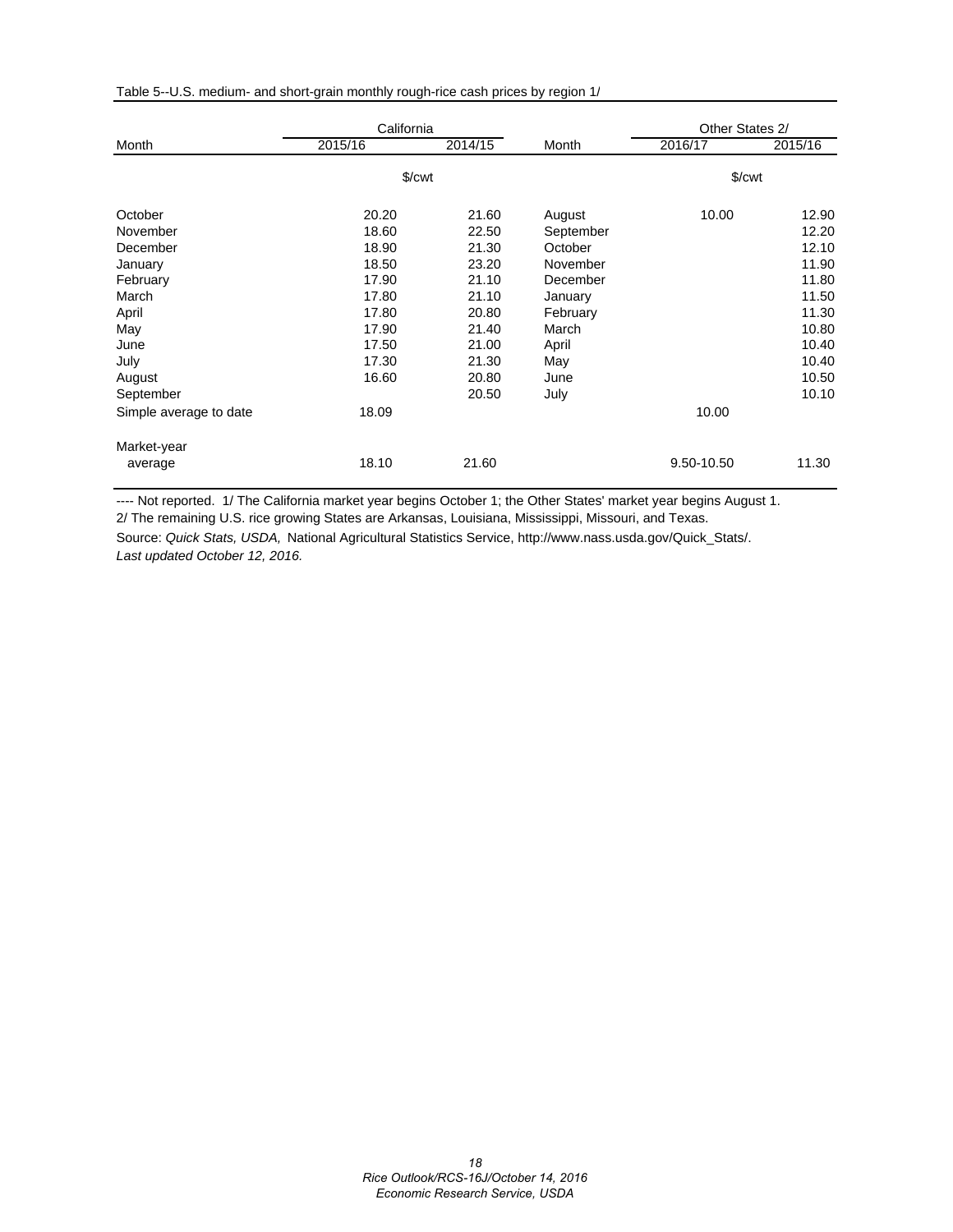|  |  |  | Table 5--U.S. medium- and short-grain monthly rough-rice cash prices by region 1/ |
|--|--|--|-----------------------------------------------------------------------------------|
|  |  |  |                                                                                   |

|                        | California |                      |           | Other States 2/        |         |
|------------------------|------------|----------------------|-----------|------------------------|---------|
| Month                  | 2015/16    | 2014/15              | Month     | 2016/17                | 2015/16 |
|                        |            | $%$ / $\mathsf{cwt}$ |           | $\sqrt{\frac{2}{\pi}}$ |         |
| October                | 20.20      | 21.60                | August    | 10.00                  | 12.90   |
| November               | 18.60      | 22.50                | September |                        | 12.20   |
| December               | 18.90      | 21.30                | October   |                        | 12.10   |
| January                | 18.50      | 23.20                | November  |                        | 11.90   |
| February               | 17.90      | 21.10                | December  |                        | 11.80   |
| March                  | 17.80      | 21.10                | January   |                        | 11.50   |
| April                  | 17.80      | 20.80                | February  |                        | 11.30   |
| May                    | 17.90      | 21.40                | March     |                        | 10.80   |
| June                   | 17.50      | 21.00                | April     |                        | 10.40   |
| July                   | 17.30      | 21.30                | May       |                        | 10.40   |
| August                 | 16.60      | 20.80                | June      |                        | 10.50   |
| September              |            | 20.50                | July      |                        | 10.10   |
| Simple average to date | 18.09      |                      |           | 10.00                  |         |
| Market-year            |            |                      |           |                        |         |
| average                | 18.10      | 21.60                |           | 9.50-10.50             | 11.30   |

---- Not reported. 1/ The California market year begins October 1; the Other States' market year begins August 1. 2/ The remaining U.S. rice growing States are Arkansas, Louisiana, Mississippi, Missouri, and Texas.

Source: *Quick Stats, USDA,* National Agricultural Statistics Service, http://www.nass.usda.gov/Quick\_Stats/. *Last updated October 12, 2016.*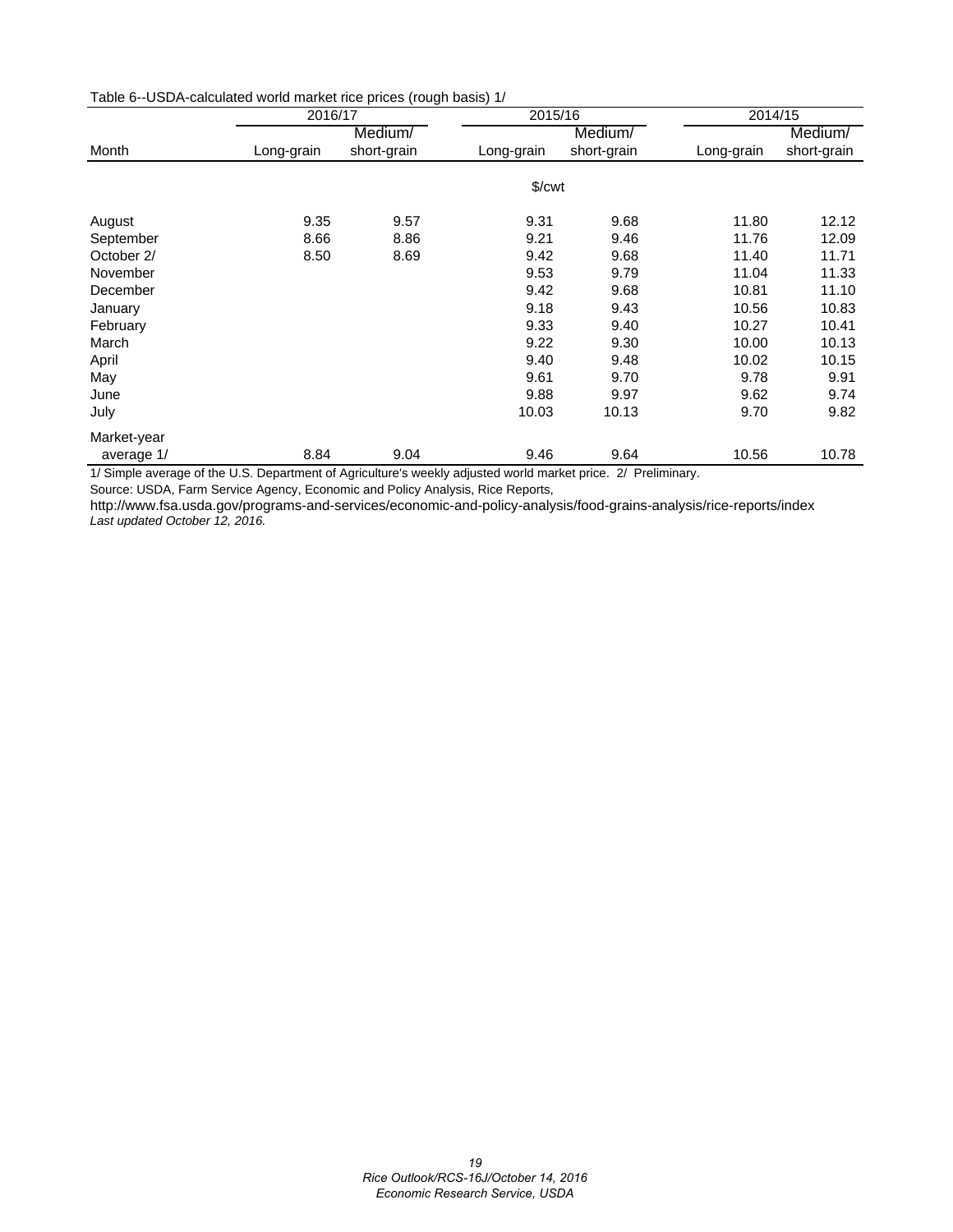| Table 6--USDA-calculated world market rice prices (rough basis) 1/ |  |  |  |  |
|--------------------------------------------------------------------|--|--|--|--|
|--------------------------------------------------------------------|--|--|--|--|

|                        |                                                                   | 2016/17     |                    | 2015/16     | 2014/15    |             |  |
|------------------------|-------------------------------------------------------------------|-------------|--------------------|-------------|------------|-------------|--|
|                        |                                                                   | Medium/     |                    | Medium/     |            | Medium/     |  |
| Month                  | Long-grain                                                        | short-grain | Long-grain         | short-grain | Long-grain | short-grain |  |
|                        |                                                                   |             |                    |             |            |             |  |
|                        |                                                                   |             | \$/ <sub>cut</sub> |             |            |             |  |
| August                 | 9.35                                                              | 9.57        | 9.31               | 9.68        | 11.80      | 12.12       |  |
| September              | 8.66                                                              | 8.86        | 9.21               | 9.46        | 11.76      | 12.09       |  |
| October 2/             | 8.50                                                              | 8.69        | 9.42               | 9.68        | 11.40      | 11.71       |  |
| November               |                                                                   |             | 9.53               | 9.79        | 11.04      | 11.33       |  |
| December               |                                                                   |             | 9.42               | 9.68        | 10.81      | 11.10       |  |
| January                |                                                                   |             | 9.18               | 9.43        | 10.56      | 10.83       |  |
| February               |                                                                   |             | 9.33               | 9.40        | 10.27      | 10.41       |  |
| March                  |                                                                   |             | 9.22               | 9.30        | 10.00      | 10.13       |  |
| April                  |                                                                   |             | 9.40               | 9.48        | 10.02      | 10.15       |  |
| May                    |                                                                   |             | 9.61               | 9.70        | 9.78       | 9.91        |  |
| June                   |                                                                   |             | 9.88               | 9.97        | 9.62       | 9.74        |  |
| July                   |                                                                   |             | 10.03              | 10.13       | 9.70       | 9.82        |  |
| Market-year            |                                                                   |             |                    |             |            |             |  |
| average 1/<br>$\cdots$ | 8.84<br>$\cdots$ $\cdots$ $\cdots$<br>$\sim$ $\sim$ $\sim$ $\sim$ | 9.04        | 9.46               | 9.64        | 10.56      | 10.78       |  |

1/ Simple average of the U.S. Department of Agriculture's weekly adjusted world market price. 2/ Preliminary.

Source: USDA, Farm Service Agency, Economic and Policy Analysis, Rice Reports,

http://www.fsa.usda.gov/programs-and-services/economic-and-policy-analysis/food-grains-analysis/rice-reports/index *Last updated October 12, 2016.*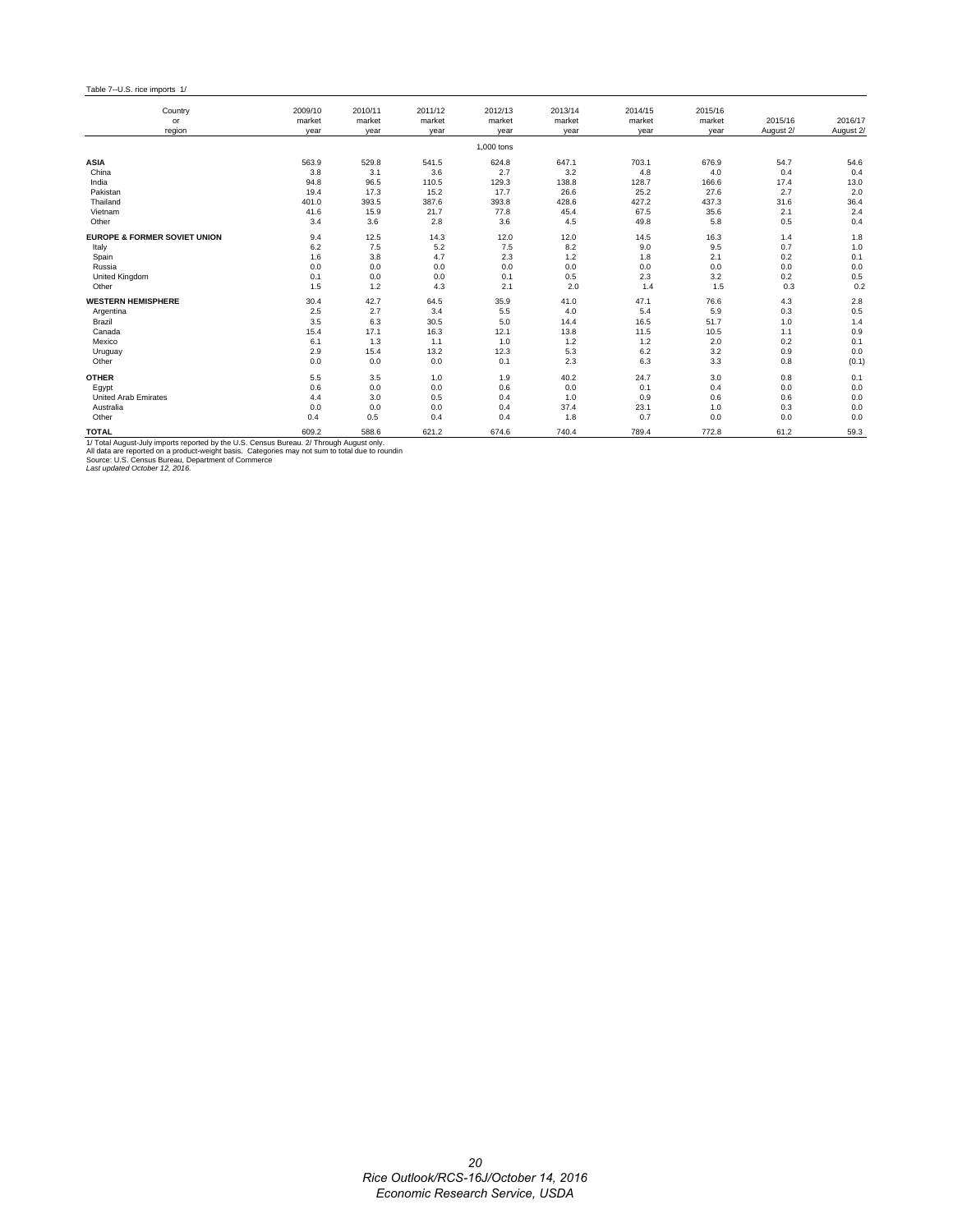Table 7--U.S. rice imports 1/

| Country                                                                                                                                                                                                                                                                             | 2009/10        | 2010/11        | 2011/12        | 2012/13        | 2013/14        | 2014/15        | 2015/16        |                      |                      |
|-------------------------------------------------------------------------------------------------------------------------------------------------------------------------------------------------------------------------------------------------------------------------------------|----------------|----------------|----------------|----------------|----------------|----------------|----------------|----------------------|----------------------|
| or<br>region                                                                                                                                                                                                                                                                        | market<br>year | market<br>year | market<br>year | market<br>year | market<br>year | market<br>year | market<br>year | 2015/16<br>August 2/ | 2016/17<br>August 2/ |
|                                                                                                                                                                                                                                                                                     |                |                |                | 1.000 tons     |                |                |                |                      |                      |
| <b>ASIA</b>                                                                                                                                                                                                                                                                         | 563.9          | 529.8          | 541.5          | 624.8          | 647.1          | 703.1          | 676.9          | 54.7                 | 54.6                 |
| China                                                                                                                                                                                                                                                                               | 3.8            | 3.1            | 3.6            | 2.7            | 3.2            | 4.8            | 4.0            | 0.4                  | 0.4                  |
| India                                                                                                                                                                                                                                                                               | 94.8           | 96.5           | 110.5          | 129.3          | 138.8          | 128.7          | 166.6          | 17.4                 | 13.0                 |
| Pakistan                                                                                                                                                                                                                                                                            | 19.4           | 17.3           | 15.2           | 17.7           | 26.6           | 25.2           | 27.6           | 2.7                  | 2.0                  |
| Thailand                                                                                                                                                                                                                                                                            | 401.0          | 393.5          | 387.6          | 393.8          | 428.6          | 427.2          | 437.3          | 31.6                 | 36.4                 |
| Vietnam                                                                                                                                                                                                                                                                             | 41.6           | 15.9           | 21.7           | 77.8           | 45.4           | 67.5           | 35.6           | 2.1                  | 2.4                  |
| Other                                                                                                                                                                                                                                                                               | 3.4            | 3.6            | 2.8            | 3.6            | 4.5            | 49.8           | 5.8            | 0.5                  | 0.4                  |
| <b>EUROPE &amp; FORMER SOVIET UNION</b>                                                                                                                                                                                                                                             | 9.4            | 12.5           | 14.3           | 12.0           | 12.0           | 14.5           | 16.3           | 1.4                  | 1.8                  |
| Italy                                                                                                                                                                                                                                                                               | 6.2            | 7.5            | 5.2            | 7.5            | 8.2            | 9.0            | 9.5            | 0.7                  | 1.0                  |
| Spain                                                                                                                                                                                                                                                                               | 1.6            | 3.8            | 4.7            | 2.3            | $1.2$          | 1.8            | 2.1            | 0.2                  | 0.1                  |
| Russia                                                                                                                                                                                                                                                                              | 0.0            | 0.0            | 0.0            | 0.0            | 0.0            | 0.0            | 0.0            | 0.0                  | 0.0                  |
| <b>United Kingdom</b>                                                                                                                                                                                                                                                               | 0.1            | 0.0            | 0.0            | 0.1            | 0.5            | 2.3            | 3.2            | 0.2                  | $0.5\,$              |
| Other                                                                                                                                                                                                                                                                               | 1.5            | 1.2            | 4.3            | 2.1            | 2.0            | 1.4            | 1.5            | 0.3                  | 0.2                  |
| <b>WESTERN HEMISPHERE</b>                                                                                                                                                                                                                                                           | 30.4           | 42.7           | 64.5           | 35.9           | 41.0           | 47.1           | 76.6           | 4.3                  | 2.8                  |
| Argentina                                                                                                                                                                                                                                                                           | 2.5            | 2.7            | 3.4            | 5.5            | 4.0            | 5.4            | 5.9            | 0.3                  | 0.5                  |
| Brazil                                                                                                                                                                                                                                                                              | 3.5            | 6.3            | 30.5           | 5.0            | 14.4           | 16.5           | 51.7           | 1.0                  | 1.4                  |
| Canada                                                                                                                                                                                                                                                                              | 15.4           | 17.1           | 16.3           | 12.1           | 13.8           | 11.5           | 10.5           | 1.1                  | 0.9                  |
| Mexico                                                                                                                                                                                                                                                                              | 6.1            | 1.3            | 1.1            | 1.0            | 1.2            | 1.2            | 2.0            | 0.2                  | 0.1                  |
| Uruguay                                                                                                                                                                                                                                                                             | 2.9            | 15.4           | 13.2           | 12.3           | 5.3            | 6.2            | 3.2            | 0.9                  | 0.0                  |
| Other                                                                                                                                                                                                                                                                               | 0.0            | 0.0            | 0.0            | 0.1            | 2.3            | 6.3            | 3.3            | 0.8                  | (0.1)                |
| <b>OTHER</b>                                                                                                                                                                                                                                                                        | 5.5            | 3.5            | 1.0            | 1.9            | 40.2           | 24.7           | 3.0            | 0.8                  | 0.1                  |
| Egypt                                                                                                                                                                                                                                                                               | 0.6            | 0.0            | 0.0            | 0.6            | 0.0            | 0.1            | 0.4            | 0.0                  | 0.0                  |
| <b>United Arab Emirates</b>                                                                                                                                                                                                                                                         | 4.4            | 3.0            | 0.5            | 0.4            | 1.0            | 0.9            | 0.6            | 0.6                  | 0.0                  |
| Australia                                                                                                                                                                                                                                                                           | 0.0            | 0.0            | 0.0            | 0.4            | 37.4           | 23.1           | 1.0            | 0.3                  | 0.0                  |
| Other                                                                                                                                                                                                                                                                               | 0.4            | 0.5            | 0.4            | 0.4            | 1.8            | 0.7            | 0.0            | 0.0                  | 0.0                  |
| <b>TOTAL</b>                                                                                                                                                                                                                                                                        | 609.2          | 588.6          | 621.2          | 674.6          | 740.4          | 789.4          | 772.8          | 61.2                 | 59.3                 |
| 1/ Total August-July imports reported by the U.S. Census Bureau. 2/ Through August only.<br>All data are reported on a product-weight basis. Categories may not sum to total due to roundin<br>Source: U.S. Census Bureau, Department of Commerce<br>Last updated October 12, 2016. |                |                |                |                |                |                |                |                      |                      |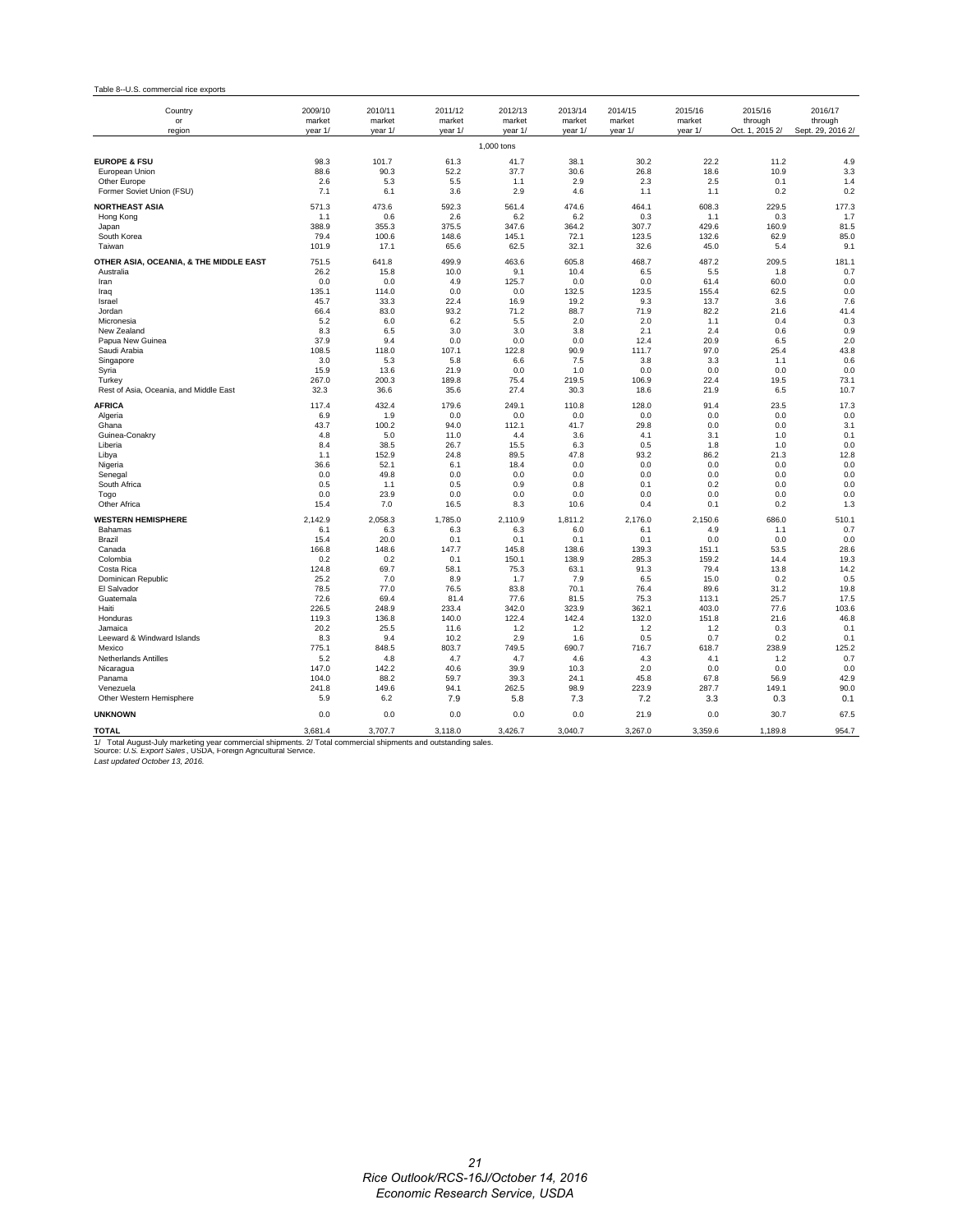#### Table 8--U.S. commercial rice exports

| Country<br>or<br>region                                                                                                                                                                                            | 2009/10<br>market<br>year 1/ | 2010/11<br>market<br>year 1/ | 2011/12<br>market<br>year 1/ | 2012/13<br>market<br>year 1/ | 2013/14<br>market<br>year 1/ | 2014/15<br>market<br>year 1/ | 2015/16<br>market<br>year 1/ | 2015/16<br>through<br>Oct. 1, 2015 2/ | 2016/17<br>through<br>Sept. 29, 2016 2/ |
|--------------------------------------------------------------------------------------------------------------------------------------------------------------------------------------------------------------------|------------------------------|------------------------------|------------------------------|------------------------------|------------------------------|------------------------------|------------------------------|---------------------------------------|-----------------------------------------|
|                                                                                                                                                                                                                    |                              |                              |                              | 1,000 tons                   |                              |                              |                              |                                       |                                         |
| <b>EUROPE &amp; FSU</b><br>European Union<br>Other Europe                                                                                                                                                          | 98.3<br>88.6<br>2.6          | 101.7<br>90.3<br>5.3         | 61.3<br>52.2<br>5.5          | 41.7<br>37.7<br>1.1          | 38.1<br>30.6<br>2.9          | 30.2<br>26.8<br>2.3          | 22.2<br>18.6<br>2.5          | 11.2<br>10.9<br>0.1                   | 4.9<br>3.3<br>1.4                       |
| Former Soviet Union (FSU)                                                                                                                                                                                          | 7.1                          | 6.1                          | 3.6                          | 2.9                          | 4.6                          | 1.1                          | 1.1                          | 0.2                                   | 0.2                                     |
| <b>NORTHEAST ASIA</b>                                                                                                                                                                                              | 571.3                        | 473.6                        | 592.3                        | 561.4                        | 474.6                        | 464.1                        | 608.3                        | 229.5                                 | 177.3                                   |
| Hong Kong<br>Japan                                                                                                                                                                                                 | 1.1<br>388.9                 | 0.6<br>355.3                 | 2.6<br>375.5                 | 6.2<br>347.6                 | 6.2<br>364.2                 | 0.3<br>307.7                 | 1.1<br>429.6                 | 0.3<br>160.9                          | 1.7<br>81.5                             |
| South Korea                                                                                                                                                                                                        | 79.4                         | 100.6                        | 148.6                        | 145.1                        | 72.1                         | 123.5                        | 132.6                        | 62.9                                  | 85.0                                    |
| Taiwan                                                                                                                                                                                                             | 101.9                        | 17.1                         | 65.6                         | 62.5                         | 32.1                         | 32.6                         | 45.0                         | 5.4                                   | 9.1                                     |
| OTHER ASIA, OCEANIA, & THE MIDDLE EAST<br>Australia                                                                                                                                                                | 751.5<br>26.2                | 641.8<br>15.8                | 499.9<br>10.0                | 463.6<br>9.1                 | 605.8<br>10.4                | 468.7<br>6.5                 | 487.2<br>5.5                 | 209.5<br>1.8                          | 181.1<br>0.7                            |
| Iran                                                                                                                                                                                                               | 0.0                          | 0.0                          | 4.9                          | 125.7                        | 0.0                          | 0.0                          | 61.4                         | 60.0                                  | 0.0                                     |
| Iraq                                                                                                                                                                                                               | 135.1                        | 114.0                        | 0.0                          | 0.0                          | 132.5                        | 123.5                        | 155.4                        | 62.5                                  | 0.0                                     |
| Israel<br>Jordan                                                                                                                                                                                                   | 45.7<br>66.4                 | 33.3<br>83.0                 | 22.4<br>93.2                 | 16.9<br>71.2                 | 19.2<br>88.7                 | 9.3<br>71.9                  | 13.7<br>82.2                 | 3.6<br>21.6                           | 7.6<br>41.4                             |
| Micronesia                                                                                                                                                                                                         | 5.2                          | 6.0                          | 6.2                          | 5.5                          | 2.0                          | 2.0                          | 1.1                          | 0.4                                   | 0.3                                     |
| New Zealand                                                                                                                                                                                                        | 8.3                          | 6.5                          | 3.0                          | 3.0                          | 3.8                          | 2.1                          | 2.4                          | 0.6                                   | 0.9                                     |
| Papua New Guinea                                                                                                                                                                                                   | 37.9                         | 9.4                          | 0.0<br>107.1                 | 0.0                          | 0.0<br>90.9                  | 12.4                         | 20.9<br>97.0                 | 6.5                                   | 2.0                                     |
| Saudi Arabia<br>Singapore                                                                                                                                                                                          | 108.5<br>3.0                 | 118.0<br>5.3                 | 5.8                          | 122.8<br>6.6                 | 7.5                          | 111.7<br>3.8                 | 3.3                          | 25.4<br>1.1                           | 43.8<br>0.6                             |
| Syria                                                                                                                                                                                                              | 15.9                         | 13.6                         | 21.9                         | 0.0                          | 1.0                          | 0.0                          | 0.0                          | 0.0                                   | 0.0                                     |
| Turkey                                                                                                                                                                                                             | 267.0                        | 200.3                        | 189.8                        | 75.4                         | 219.5                        | 106.9                        | 22.4                         | 19.5                                  | 73.1                                    |
| Rest of Asia, Oceania, and Middle East                                                                                                                                                                             | 32.3                         | 36.6                         | 35.6                         | 27.4                         | 30.3                         | 18.6                         | 21.9                         | 6.5                                   | 10.7                                    |
| AFRICA                                                                                                                                                                                                             | 117.4<br>6.9                 | 432.4                        | 179.6<br>0.0                 | 249.1<br>0.0                 | 110.8<br>0.0                 | 128.0<br>0.0                 | 91.4<br>0.0                  | 23.5<br>0.0                           | 17.3<br>0.0                             |
| Algeria<br>Ghana                                                                                                                                                                                                   | 43.7                         | 1.9<br>100.2                 | 94.0                         | 112.1                        | 41.7                         | 29.8                         | 0.0                          | 0.0                                   | 3.1                                     |
| Guinea-Conakry                                                                                                                                                                                                     | 4.8                          | 5.0                          | 11.0                         | 4.4                          | 3.6                          | 4.1                          | 3.1                          | 1.0                                   | 0.1                                     |
| Liberia                                                                                                                                                                                                            | 8.4                          | 38.5                         | 26.7                         | 15.5                         | 6.3                          | 0.5                          | 1.8                          | 1.0                                   | 0.0                                     |
| Libya<br>Nigeria                                                                                                                                                                                                   | 1.1<br>36.6                  | 152.9<br>52.1                | 24.8<br>6.1                  | 89.5<br>18.4                 | 47.8<br>0.0                  | 93.2<br>0.0                  | 86.2<br>0.0                  | 21.3<br>0.0                           | 12.8<br>0.0                             |
| Senegal                                                                                                                                                                                                            | 0.0                          | 49.8                         | 0.0                          | 0.0                          | 0.0                          | 0.0                          | 0.0                          | 0.0                                   | 0.0                                     |
| South Africa                                                                                                                                                                                                       | 0.5                          | 1.1                          | 0.5                          | 0.9                          | 0.8                          | 0.1                          | 0.2                          | 0.0                                   | 0.0                                     |
| Togo<br>Other Africa                                                                                                                                                                                               | 0.0<br>15.4                  | 23.9<br>7.0                  | 0.0<br>16.5                  | 0.0<br>8.3                   | 0.0<br>10.6                  | 0.0<br>0.4                   | 0.0<br>0.1                   | 0.0<br>0.2                            | 0.0<br>1.3                              |
|                                                                                                                                                                                                                    |                              |                              |                              |                              |                              |                              |                              |                                       |                                         |
| <b>WESTERN HEMISPHERE</b><br>Bahamas                                                                                                                                                                               | 2.142.9<br>6.1               | 2.058.3<br>6.3               | 1.785.0<br>6.3               | 2.110.9<br>6.3               | 1.811.2<br>6.0               | 2.176.0<br>6.1               | 2.150.6<br>4.9               | 686.0<br>1.1                          | 510.1<br>0.7                            |
| Brazil                                                                                                                                                                                                             | 15.4                         | 20.0                         | 0.1                          | 0.1                          | 0.1                          | 0.1                          | 0.0                          | 0.0                                   | 0.0                                     |
| Canada                                                                                                                                                                                                             | 166.8                        | 148.6                        | 147.7                        | 145.8                        | 138.6                        | 139.3                        | 151.1                        | 53.5                                  | 28.6                                    |
| Colombia<br>Costa Rica                                                                                                                                                                                             | 0.2<br>124.8                 | 0.2<br>69.7                  | 0.1<br>58.1                  | 150.1<br>75.3                | 138.9<br>63.1                | 285.3<br>91.3                | 159.2<br>79.4                | 14.4<br>13.8                          | 19.3<br>14.2                            |
| Dominican Republic                                                                                                                                                                                                 | 25.2                         | 7.0                          | 8.9                          | 1.7                          | 7.9                          | 6.5                          | 15.0                         | 0.2                                   | 0.5                                     |
| El Salvador                                                                                                                                                                                                        | 78.5                         | 77.0                         | 76.5                         | 83.8                         | 70.1                         | 76.4                         | 89.6                         | 31.2                                  | 19.8                                    |
| Guatemala                                                                                                                                                                                                          | 72.6                         | 69.4                         | 81.4                         | 77.6                         | 81.5                         | 75.3                         | 113.1                        | 25.7                                  | 17.5                                    |
| Haiti<br>Honduras                                                                                                                                                                                                  | 226.5<br>119.3               | 248.9<br>136.8               | 233.4<br>140.0               | 342.0<br>122.4               | 323.9<br>142.4               | 362.1<br>132.0               | 403.0<br>151.8               | 77.6<br>21.6                          | 103.6<br>46.8                           |
| Jamaica                                                                                                                                                                                                            | 20.2                         | 25.5                         | 11.6                         | 1.2                          | 1.2                          | 1.2                          | 1.2                          | 0.3                                   | 0.1                                     |
| Leeward & Windward Islands                                                                                                                                                                                         | 8.3                          | 9.4                          | 10.2                         | 2.9                          | 1.6                          | 0.5                          | 0.7                          | 0.2                                   | 0.1                                     |
| Mexico<br><b>Netherlands Antilles</b>                                                                                                                                                                              | 775.1<br>5.2                 | 848.5<br>4.8                 | 803.7<br>4.7                 | 749.5<br>4.7                 | 690.7<br>4.6                 | 716.7<br>4.3                 | 618.7<br>4.1                 | 238.9<br>1.2                          | 125.2<br>0.7                            |
| Nicaragua                                                                                                                                                                                                          | 147.0                        | 142.2                        | 40.6                         | 39.9                         | 10.3                         | 2.0                          | 0.0                          | 0.0                                   | 0.0                                     |
| Panama                                                                                                                                                                                                             | 104.0                        | 88.2                         | 59.7                         | 39.3                         | 24.1                         | 45.8                         | 67.8                         | 56.9                                  | 42.9                                    |
| Venezuela<br>Other Western Hemisphere                                                                                                                                                                              | 241.8<br>5.9                 | 149.6<br>6.2                 | 94.1                         | 262.5                        | 98.9                         | 223.9                        | 287.7                        | 149.1                                 | 90.0<br>0.1                             |
|                                                                                                                                                                                                                    |                              |                              | 7.9                          | 5.8                          | 7.3                          | 7.2                          | 3.3                          | 0.3                                   |                                         |
| <b>UNKNOWN</b>                                                                                                                                                                                                     | 0.0                          | 0.0                          | 0.0                          | 0.0                          | 0.0                          | 21.9                         | 0.0                          | 30.7                                  | 67.5                                    |
| <b>TOTAL</b>                                                                                                                                                                                                       | 3,681.4                      | 3,707.7                      | 3,118.0                      | 3,426.7                      | 3,040.7                      | 3,267.0                      | 3,359.6                      | 1,189.8                               | 954.7                                   |
| 1/ Total August-July marketing year commercial shipments. 2/ Total commercial shipments and outstanding sales.<br>Source: U.S. Export Sales, USDA, Foreign Agricultural Service.<br>Last updated October 13, 2016. |                              |                              |                              |                              |                              |                              |                              |                                       |                                         |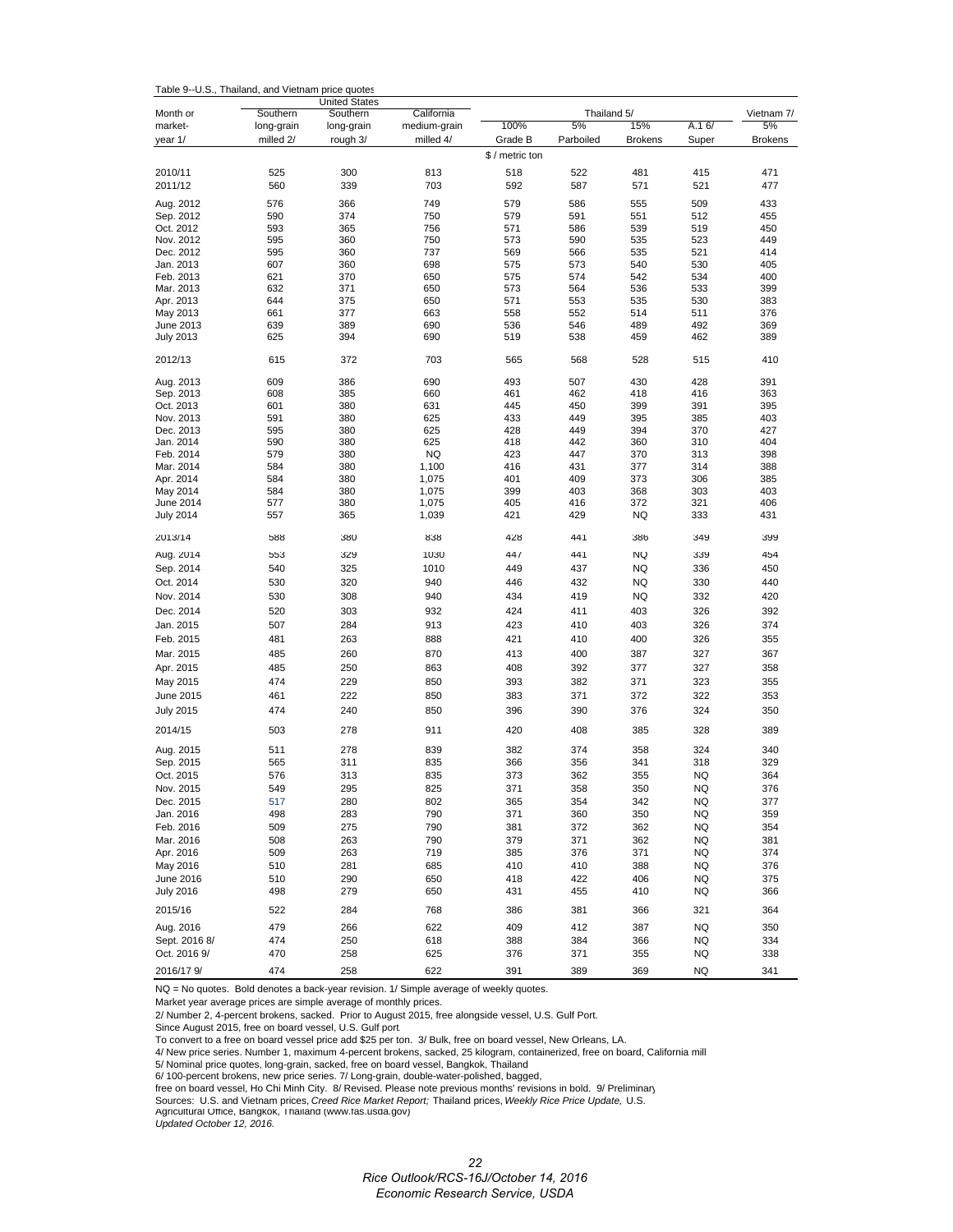| Table 9--U.S., Thailand, and Vietnam price quotes |  |  |  |
|---------------------------------------------------|--|--|--|
|---------------------------------------------------|--|--|--|

|                               | <b>United States</b>   |                        |                            |                 |                   |                |            |                  |
|-------------------------------|------------------------|------------------------|----------------------------|-----------------|-------------------|----------------|------------|------------------|
| Month or<br>market-           | Southern<br>long-grain | Southern<br>long-grain | California<br>medium-grain | 100%            | Thailand 5/<br>5% | 15%            | A.16/      | Vietnam 7/<br>5% |
| year 1/                       | milled 2/              | rough 3/               | milled 4/                  | Grade B         | Parboiled         | <b>Brokens</b> | Super      | <b>Brokens</b>   |
|                               |                        |                        |                            | \$ / metric ton |                   |                |            |                  |
|                               |                        |                        |                            |                 |                   |                |            |                  |
| 2010/11                       | 525                    | 300                    | 813                        | 518             | 522               | 481            | 415        | 471              |
| 2011/12                       | 560                    | 339                    | 703                        | 592             | 587               | 571            | 521        | 477              |
| Aug. 2012                     | 576                    | 366                    | 749                        | 579             | 586               | 555            | 509        | 433              |
| Sep. 2012                     | 590                    | 374                    | 750                        | 579             | 591               | 551            | 512        | 455              |
| Oct. 2012                     | 593                    | 365                    | 756                        | 571             | 586               | 539            | 519        | 450              |
| Nov. 2012<br>Dec. 2012        | 595<br>595             | 360                    | 750                        | 573<br>569      | 590<br>566        | 535<br>535     | 523<br>521 | 449<br>414       |
| Jan. 2013                     | 607                    | 360<br>360             | 737<br>698                 | 575             | 573               | 540            | 530        | 405              |
| Feb. 2013                     | 621                    | 370                    | 650                        | 575             | 574               | 542            | 534        | 400              |
| Mar. 2013                     | 632                    | 371                    | 650                        | 573             | 564               | 536            | 533        | 399              |
| Apr. 2013                     | 644                    | 375                    | 650                        | 571             | 553               | 535            | 530        | 383              |
| May 2013                      | 661                    | 377                    | 663                        | 558             | 552               | 514            | 511        | 376              |
| June 2013                     | 639                    | 389                    | 690                        | 536             | 546               | 489            | 492        | 369              |
| <b>July 2013</b>              | 625                    | 394                    | 690                        | 519             | 538               | 459            | 462        | 389              |
| 2012/13                       | 615                    | 372                    | 703                        | 565             | 568               | 528            | 515        | 410              |
| Aug. 2013                     | 609                    | 386                    | 690                        | 493             | 507               | 430            | 428        | 391              |
| Sep. 2013                     | 608                    | 385                    | 660                        | 461             | 462               | 418            | 416        | 363              |
| Oct. 2013                     | 601                    | 380                    | 631                        | 445             | 450               | 399            | 391        | 395              |
| Nov. 2013                     | 591                    | 380                    | 625                        | 433             | 449               | 395            | 385        | 403              |
| Dec. 2013                     | 595                    | 380                    | 625                        | 428             | 449               | 394            | 370        | 427              |
| Jan. 2014                     | 590                    | 380                    | 625                        | 418             | 442               | 360            | 310        | 404              |
| Feb. 2014                     | 579                    | 380                    | <b>NQ</b>                  | 423             | 447               | 370            | 313        | 398              |
| Mar. 2014                     | 584                    | 380                    | 1,100                      | 416             | 431               | 377            | 314        | 388              |
| Apr. 2014                     | 584                    | 380                    | 1,075                      | 401             | 409               | 373            | 306        | 385              |
| May 2014                      | 584                    | 380<br>380             | 1,075                      | 399<br>405      | 403<br>416        | 368<br>372     | 303<br>321 | 403<br>406       |
| June 2014<br><b>July 2014</b> | 577<br>557             | 365                    | 1,075<br>1,039             | 421             | 429               | NQ             | 333        | 431              |
|                               |                        |                        |                            |                 |                   |                |            |                  |
| 2013/14                       | 588                    | 380                    | 838                        | 428             | 441               | 386            | 349        | 399              |
| Aug. 2014                     | 553                    | 329                    | 1030                       | 44/             | 441               | NQ             | 339        | 454              |
| Sep. 2014                     | 540                    | 325                    | 1010                       | 449             | 437               | NQ             | 336        | 450              |
| Oct. 2014                     | 530                    | 320                    | 940                        | 446             | 432               | <b>NQ</b>      | 330        | 440              |
| Nov. 2014                     | 530                    | 308                    | 940                        | 434             | 419               | NQ             | 332        | 420              |
| Dec. 2014                     | 520                    | 303                    | 932                        | 424             | 411               | 403            | 326        | 392              |
| Jan. 2015                     | 507                    | 284                    | 913                        | 423             | 410               | 403            | 326        | 374              |
| Feb. 2015                     | 481                    | 263                    | 888                        | 421             | 410               | 400            | 326        | 355              |
| Mar. 2015                     | 485                    | 260                    | 870                        | 413             | 400               | 387            | 327        | 367              |
| Apr. 2015                     | 485                    | 250                    | 863                        | 408             | 392               | 377            | 327        | 358              |
| May 2015                      | 474                    | 229                    | 850                        | 393             | 382               | 371            | 323        | 355              |
| June 2015                     | 461                    | 222                    | 850                        | 383             | 371               | 372            | 322        | 353              |
| <b>July 2015</b>              | 474                    | 240                    | 850                        | 396             | 390               | 376            | 324        | 350              |
| 2014/15                       | 503                    | 278                    | 911                        | 420             | 408               | 385            | 328        | 389              |
| Aug. 2015                     | 511                    | 278                    | 839                        | 382             | 374               | 358            | 324        | 340              |
| Sep. 2015                     | 565                    | 311                    | 835                        | 366             | 356               | 341            | 318        | 329              |
| Oct. 2015                     | 576                    | 313                    | 835                        | 373             | 362               | 355            | NQ         | 364              |
| Nov. 2015                     | 549                    | 295                    | 825                        | 371             | 358               | 350            | <b>NQ</b>  | 376              |
| Dec. 2015                     | 517                    | 280                    | 802                        | 365             | 354               | 342            | NQ         | 377              |
| Jan. 2016                     | 498                    | 283                    | 790                        | 371             | 360               | 350            | NQ         | 359              |
| Feb. 2016                     | 509                    | 275                    | 790                        | 381             | 372               | 362            | <b>NQ</b>  | 354              |
| Mar. 2016                     | 508                    | 263                    | 790                        | 379             | 371               | 362            | <b>NQ</b>  | 381              |
| Apr. 2016                     | 509                    | 263                    | 719                        | 385             | 376               | 371            | <b>NQ</b>  | 374              |
| May 2016                      | 510                    | 281                    | 685                        | 410             | 410               | 388            | NQ         | 376              |
| June 2016                     | 510                    | 290                    | 650                        | 418             | 422               | 406            | <b>NQ</b>  | 375              |
| <b>July 2016</b>              | 498                    | 279                    | 650                        | 431             | 455               | 410            | NQ         | 366              |
| 2015/16                       | 522                    | 284                    | 768                        | 386             | 381               | 366            | 321        | 364              |
| Aug. 2016                     | 479                    | 266                    | 622                        | 409             | 412               | 387            | <b>NQ</b>  | 350              |
| Sept. 2016 8/                 | 474                    | 250                    | 618                        | 388             | 384               | 366            | NQ         | 334              |
| Oct. 2016 9/                  | 470                    | 258                    | 625                        | 376             | 371               | 355            | NQ         | 338              |
|                               |                        |                        |                            |                 |                   |                |            |                  |
| 2016/17 9/                    | 474                    | 258                    | 622                        | 391             | 389               | 369            | NQ         | 341              |

NQ = No quotes. Bold denotes a back-year revision. 1/ Simple average of weekly quotes.

Market year average prices are simple average of monthly prices.

2/ Number 2, 4-percent brokens, sacked. Prior to August 2015, free alongside vessel, U.S. Gulf Port.

Since August 2015, free on board vessel, U.S. Gulf port.

To convert to a free on board vessel price add \$25 per ton. 3/ Bulk, free on board vessel, New Orleans, LA.

4/ New price series. Number 1, maximum 4-percent brokens, sacked, 25 kilogram, containerized, free on board, California mill

5/ Nominal price quotes, long-grain, sacked, free on board vessel, Bangkok, Thailand 6/ 100-percent brokens, new price series. 7/ Long-grain, double-water-polished, bagged,

free on board vessel, Ho Chi Minh City. 8/ Revised. Please note previous months' revisions in bold. 9/ Preliminary

Sources: U.S. and Vietnam prices, *Creed Rice Market Report;* Thailand prices, *Weekly Rice Price Update,* U.S. Agricultural Office, Bangkok, Thailand (www.fas.usda.gov)

*Updated October 12, 2016.*

*Rice Outlook/RCS-16J/October 14, 2016 Economic Research Service, USDA*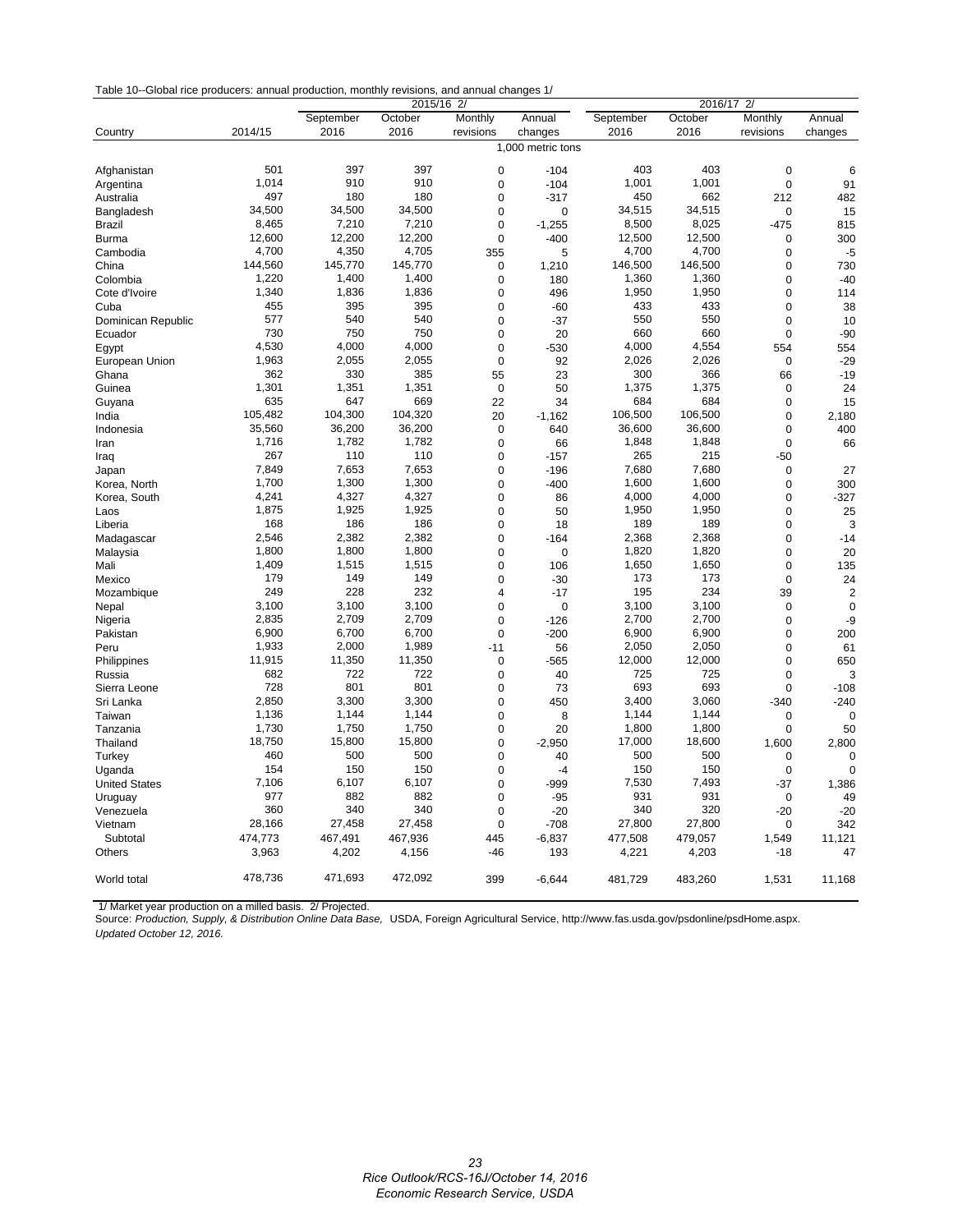| Table 10--Global rice producers: annual production, monthly revisions, and annual changes 1/ |  |  |
|----------------------------------------------------------------------------------------------|--|--|
|----------------------------------------------------------------------------------------------|--|--|

|                      |                   | 2015/16 2/ |         |                | 2016/17<br>$\overline{2}$ |           |         |             |                |
|----------------------|-------------------|------------|---------|----------------|---------------------------|-----------|---------|-------------|----------------|
|                      |                   | September  | October | Monthly        | Annual                    | September | October | Monthly     | Annual         |
| Country              | 2014/15           | 2016       | 2016    | revisions      | changes                   | 2016      | 2016    | revisions   | changes        |
|                      | 1,000 metric tons |            |         |                |                           |           |         |             |                |
|                      |                   |            |         |                |                           |           |         |             |                |
| Afghanistan          | 501               | 397        | 397     | $\mathbf 0$    | $-104$                    | 403       | 403     | $\mathbf 0$ | 6              |
| Argentina            | 1.014             | 910        | 910     | $\mathbf 0$    | $-104$                    | 1,001     | 1,001   | $\mathbf 0$ | 91             |
| Australia            | 497               | 180        | 180     | $\mathbf 0$    | $-317$                    | 450       | 662     | 212         | 482            |
| Bangladesh           | 34,500            | 34,500     | 34,500  | $\mathbf 0$    | $\mathbf 0$               | 34,515    | 34,515  | $\mathbf 0$ | 15             |
| Brazil               | 8,465             | 7,210      | 7,210   | $\mathbf 0$    | $-1,255$                  | 8,500     | 8,025   | $-475$      | 815            |
| <b>Burma</b>         | 12,600            | 12,200     | 12,200  | $\mathbf 0$    | $-400$                    | 12,500    | 12,500  | $\mathbf 0$ | 300            |
| Cambodia             | 4,700             | 4,350      | 4,705   | 355            | 5                         | 4,700     | 4,700   | $\mathbf 0$ | $-5$           |
| China                | 144,560           | 145,770    | 145,770 | $\mathbf 0$    | 1,210                     | 146,500   | 146,500 | $\mathbf 0$ | 730            |
| Colombia             | 1,220             | 1,400      | 1,400   | $\mathbf 0$    | 180                       | 1,360     | 1,360   | $\mathbf 0$ | $-40$          |
| Cote d'Ivoire        | 1.340             | 1.836      | 1.836   | $\Omega$       | 496                       | 1.950     | 1,950   | $\Omega$    | 114            |
| Cuba                 | 455               | 395        | 395     | $\Omega$       | $-60$                     | 433       | 433     | $\Omega$    | 38             |
| Dominican Republic   | 577               | 540        | 540     | $\mathbf 0$    | $-37$                     | 550       | 550     | $\mathbf 0$ | 10             |
| Ecuador              | 730               | 750        | 750     | $\mathbf 0$    | 20                        | 660       | 660     | $\mathbf 0$ | $-90$          |
| Egypt                | 4,530             | 4,000      | 4,000   | $\mathbf 0$    | $-530$                    | 4,000     | 4,554   | 554         | 554            |
| European Union       | 1,963             | 2,055      | 2,055   | $\mathbf 0$    | 92                        | 2,026     | 2,026   | $\mathbf 0$ | $-29$          |
| Ghana                | 362               | 330        | 385     | 55             | 23                        | 300       | 366     | 66          | $-19$          |
| Guinea               | 1,301             | 1,351      | 1,351   | $\mathbf 0$    | 50                        | 1,375     | 1,375   | $\mathbf 0$ | 24             |
| Guyana               | 635               | 647        | 669     | 22             | 34                        | 684       | 684     | $\mathbf 0$ | 15             |
| India                | 105,482           | 104,300    | 104,320 | 20             | $-1,162$                  | 106,500   | 106,500 | $\mathbf 0$ | 2,180          |
| Indonesia            | 35,560            | 36,200     | 36,200  | $\mathbf 0$    | 640                       | 36,600    | 36,600  | $\mathbf 0$ | 400            |
| Iran                 | 1,716             | 1,782      | 1,782   | $\mathbf 0$    | 66                        | 1,848     | 1,848   | $\mathbf 0$ | 66             |
| Iraq                 | 267               | 110        | 110     | $\mathbf 0$    | $-157$                    | 265       | 215     | $-50$       |                |
| Japan                | 7,849             | 7,653      | 7,653   | $\mathbf 0$    | $-196$                    | 7,680     | 7,680   | $\mathbf 0$ | 27             |
| Korea, North         | 1,700             | 1,300      | 1,300   | $\mathbf 0$    | $-400$                    | 1,600     | 1,600   | $\mathbf 0$ | 300            |
| Korea, South         | 4,241             | 4,327      | 4,327   | $\mathbf 0$    | 86                        | 4,000     | 4,000   | $\mathbf 0$ | $-327$         |
|                      | 1,875             | 1,925      | 1,925   | $\mathbf 0$    | 50                        | 1,950     | 1,950   | $\mathbf 0$ | 25             |
| Laos                 | 168               | 186        | 186     | $\mathbf 0$    |                           | 189       | 189     | $\mathbf 0$ |                |
| Liberia              | 2,546             | 2,382      | 2,382   |                | 18                        | 2,368     | 2,368   |             | 3              |
| Madagascar           | 1,800             | 1,800      | 1,800   | $\mathbf 0$    | $-164$                    | 1,820     | 1,820   | $\mathbf 0$ | $-14$          |
| Malaysia             | 1,409             |            |         | $\Omega$       | $\mathbf 0$               |           |         | $\Omega$    | 20             |
| Mali                 |                   | 1,515      | 1,515   | $\mathbf 0$    | 106                       | 1,650     | 1,650   | $\mathbf 0$ | 135            |
| Mexico               | 179               | 149        | 149     | $\Omega$       | $-30$                     | 173       | 173     | $\Omega$    | 24             |
| Mozambique           | 249               | 228        | 232     | $\overline{4}$ | $-17$                     | 195       | 234     | 39          | $\overline{2}$ |
| Nepal                | 3,100             | 3,100      | 3,100   | $\mathbf 0$    | $\mathbf 0$               | 3,100     | 3,100   | $\mathbf 0$ | $\mathbf 0$    |
| Nigeria              | 2,835             | 2,709      | 2,709   | $\mathbf 0$    | $-126$                    | 2,700     | 2,700   | $\mathbf 0$ | -9             |
| Pakistan             | 6,900             | 6,700      | 6,700   | $\mathbf 0$    | $-200$                    | 6,900     | 6,900   | $\mathbf 0$ | 200            |
| Peru                 | 1,933             | 2,000      | 1,989   | $-11$          | 56                        | 2,050     | 2,050   | $\mathbf 0$ | 61             |
| Philippines          | 11,915            | 11,350     | 11,350  | $\mathbf 0$    | $-565$                    | 12,000    | 12,000  | $\mathbf 0$ | 650            |
| Russia               | 682               | 722        | 722     | $\mathbf 0$    | 40                        | 725       | 725     | $\Omega$    | 3              |
| Sierra Leone         | 728               | 801        | 801     | $\mathbf 0$    | 73                        | 693       | 693     | $\mathbf 0$ | $-108$         |
| Sri Lanka            | 2,850             | 3,300      | 3,300   | $\mathbf 0$    | 450                       | 3,400     | 3,060   | $-340$      | $-240$         |
| Taiwan               | 1,136             | 1,144      | 1,144   | $\mathbf 0$    | 8                         | 1,144     | 1,144   | $\mathbf 0$ | $\mathbf 0$    |
| Tanzania             | 1,730             | 1,750      | 1,750   | $\mathbf 0$    | 20                        | 1,800     | 1,800   | $\mathbf 0$ | 50             |
| Thailand             | 18,750            | 15,800     | 15,800  | $\mathbf 0$    | $-2,950$                  | 17,000    | 18,600  | 1,600       | 2,800          |
| Turkey               | 460               | 500        | 500     | $\mathbf 0$    | 40                        | 500       | 500     | $\mathbf 0$ | $\mathbf 0$    |
| Uganda               | 154               | 150        | 150     | $\mathbf 0$    | $-4$                      | 150       | 150     | $\mathbf 0$ | $\mathbf 0$    |
| <b>United States</b> | 7,106             | 6,107      | 6,107   | $\mathbf 0$    | -999                      | 7,530     | 7,493   | $-37$       | 1,386          |
| Uruguay              | 977               | 882        | 882     | $\Omega$       | $-95$                     | 931       | 931     | $\Omega$    | 49             |
| Venezuela            | 360               | 340        | 340     | $\Omega$       | $-20$                     | 340       | 320     | $-20$       | $-20$          |
| Vietnam              | 28,166            | 27,458     | 27,458  | $\Omega$       | $-708$                    | 27,800    | 27,800  | $\mathbf 0$ | 342            |
| Subtotal             | 474,773           | 467,491    | 467,936 | 445            | $-6,837$                  | 477,508   | 479,057 | 1,549       | 11,121         |
| Others               | 3,963             | 4,202      | 4,156   | $-46$          | 193                       | 4,221     | 4,203   | $-18$       | 47             |
|                      |                   |            |         |                |                           |           |         |             |                |
| World total          | 478,736           | 471,693    | 472,092 | 399            | $-6,644$                  | 481,729   | 483,260 | 1,531       | 11,168         |
|                      |                   |            |         |                |                           |           |         |             |                |

 1/ Market year production on a milled basis. 2/ Projected. Source: *Production, Supply, & Distribution Online Data Base,* USDA, Foreign Agricultural Service, http://www.fas.usda.gov/psdonline/psdHome.aspx. *Updated October 12, 2016.*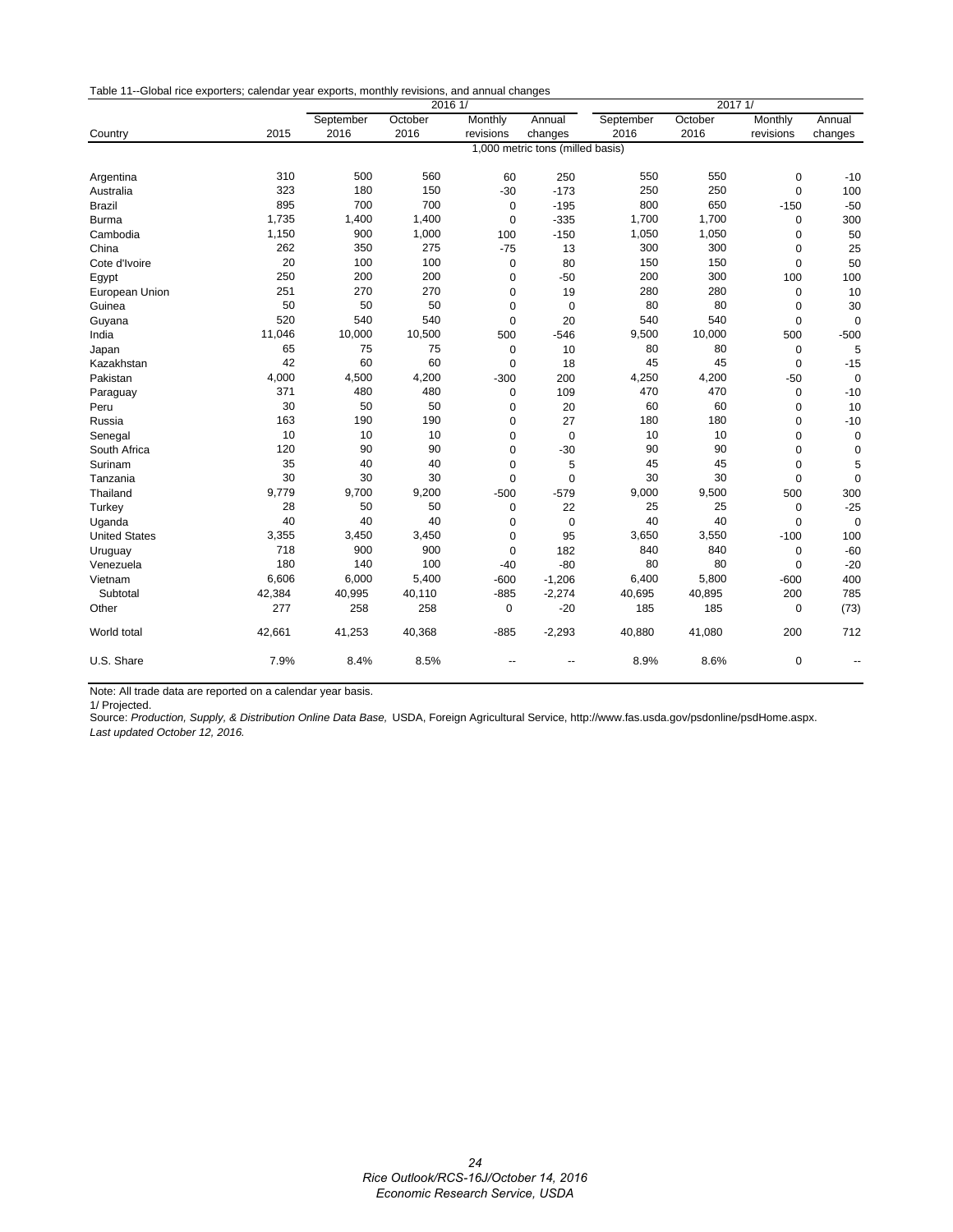| Table 11--Global rice exporters; calendar year exports, monthly revisions, and annual changes |  |  |
|-----------------------------------------------------------------------------------------------|--|--|
|                                                                                               |  |  |

|                      |        | 2016 1/                          |         |             |             | 2017 1/   |         |             |             |
|----------------------|--------|----------------------------------|---------|-------------|-------------|-----------|---------|-------------|-------------|
|                      |        | September                        | October | Monthly     | Annual      | September | October | Monthly     | Annual      |
| Country              | 2015   | 2016                             | 2016    | revisions   | changes     | 2016      | 2016    | revisions   | changes     |
|                      |        | 1,000 metric tons (milled basis) |         |             |             |           |         |             |             |
| Argentina            | 310    | 500                              | 560     | 60          | 250         | 550       | 550     | 0           | $-10$       |
| Australia            | 323    | 180                              | 150     | $-30$       | $-173$      | 250       | 250     | 0           | 100         |
| <b>Brazil</b>        | 895    | 700                              | 700     | $\mathbf 0$ | $-195$      | 800       | 650     | $-150$      | $-50$       |
| <b>Burma</b>         | 1,735  | 1,400                            | 1,400   | $\mathbf 0$ | $-335$      | 1,700     | 1,700   | 0           | 300         |
| Cambodia             | 1,150  | 900                              | 1,000   | 100         | $-150$      | 1,050     | 1,050   | 0           | 50          |
| China                | 262    | 350                              | 275     | $-75$       | 13          | 300       | 300     | 0           | 25          |
| Cote d'Ivoire        | 20     | 100                              | 100     | $\mathbf 0$ | 80          | 150       | 150     | $\mathbf 0$ | 50          |
| Egypt                | 250    | 200                              | 200     | $\mathbf 0$ | $-50$       | 200       | 300     | 100         | 100         |
| European Union       | 251    | 270                              | 270     | $\mathbf 0$ | 19          | 280       | 280     | 0           | 10          |
| Guinea               | 50     | 50                               | 50      | $\mathbf 0$ | $\mathbf 0$ | 80        | 80      | 0           | 30          |
| Guyana               | 520    | 540                              | 540     | $\mathbf 0$ | 20          | 540       | 540     | 0           | $\mathbf 0$ |
| India                | 11,046 | 10,000                           | 10,500  | 500         | $-546$      | 9,500     | 10,000  | 500         | $-500$      |
| Japan                | 65     | 75                               | 75      | $\mathbf 0$ | 10          | 80        | 80      | 0           | 5           |
| Kazakhstan           | 42     | 60                               | 60      | $\mathbf 0$ | 18          | 45        | 45      | 0           | $-15$       |
| Pakistan             | 4,000  | 4,500                            | 4,200   | $-300$      | 200         | 4,250     | 4,200   | $-50$       | $\mathbf 0$ |
| Paraguay             | 371    | 480                              | 480     | $\mathbf 0$ | 109         | 470       | 470     | 0           | $-10$       |
| Peru                 | 30     | 50                               | 50      | $\mathbf 0$ | 20          | 60        | 60      | 0           | 10          |
| Russia               | 163    | 190                              | 190     | $\mathbf 0$ | 27          | 180       | 180     | 0           | $-10$       |
| Senegal              | 10     | 10                               | 10      | $\mathbf 0$ | $\mathbf 0$ | 10        | 10      | 0           | $\mathbf 0$ |
| South Africa         | 120    | 90                               | 90      | $\mathbf 0$ | $-30$       | 90        | 90      | $\mathbf 0$ | $\mathbf 0$ |
| Surinam              | 35     | 40                               | 40      | $\mathbf 0$ | 5           | 45        | 45      | 0           | 5           |
| Tanzania             | 30     | 30                               | 30      | $\mathbf 0$ | $\mathbf 0$ | 30        | 30      | 0           | $\mathbf 0$ |
| Thailand             | 9.779  | 9,700                            | 9,200   | $-500$      | $-579$      | 9,000     | 9,500   | 500         | 300         |
| Turkey               | 28     | 50                               | 50      | $\mathbf 0$ | 22          | 25        | 25      | 0           | $-25$       |
| Uganda               | 40     | 40                               | 40      | $\mathbf 0$ | $\mathbf 0$ | 40        | 40      | 0           | $\mathbf 0$ |
| <b>United States</b> | 3,355  | 3,450                            | 3,450   | $\mathbf 0$ | 95          | 3,650     | 3,550   | $-100$      | 100         |
| Uruguay              | 718    | 900                              | 900     | $\mathbf 0$ | 182         | 840       | 840     | 0           | $-60$       |
| Venezuela            | 180    | 140                              | 100     | $-40$       | $-80$       | 80        | 80      | 0           | $-20$       |
| Vietnam              | 6,606  | 6,000                            | 5,400   | $-600$      | $-1,206$    | 6,400     | 5,800   | $-600$      | 400         |
| Subtotal             | 42,384 | 40,995                           | 40,110  | $-885$      | $-2,274$    | 40,695    | 40,895  | 200         | 785         |
| Other                | 277    | 258                              | 258     | 0           | $-20$       | 185       | 185     | 0           | (73)        |
| World total          | 42,661 | 41,253                           | 40,368  | $-885$      | $-2,293$    | 40,880    | 41,080  | 200         | 712         |
| U.S. Share           | 7.9%   | 8.4%                             | 8.5%    |             |             | 8.9%      | 8.6%    | $\mathbf 0$ |             |

Note: All trade data are reported on a calendar year basis.

1/ Projected.

Source: *Production, Supply, & Distribution Online Data Base,* USDA, Foreign Agricultural Service, http://www.fas.usda.gov/psdonline/psdHome.aspx. *Last updated October 12, 2016.*